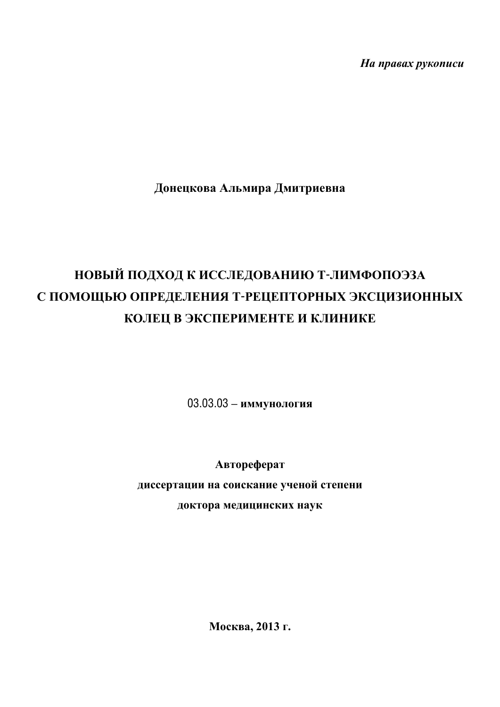Ha npaeax pykonucu

Донецкова Альмира Дмитриевна

# НОВЫЙ ПОДХОД К ИССЛЕДОВАНИЮ Т-ЛИМФОПОЭЗА С ПОМОЩЬЮ ОПРЕДЕЛЕНИЯ Т-РЕЦЕПТОРНЫХ ЭКСЦИЗИОННЫХ КОЛЕЦ В ЭКСПЕРИМЕНТЕ И КЛИНИКЕ

03.03.03 - иммунология

Автореферат диссертации на соискание ученой степени доктора медицинских наук

Москва, 2013 г.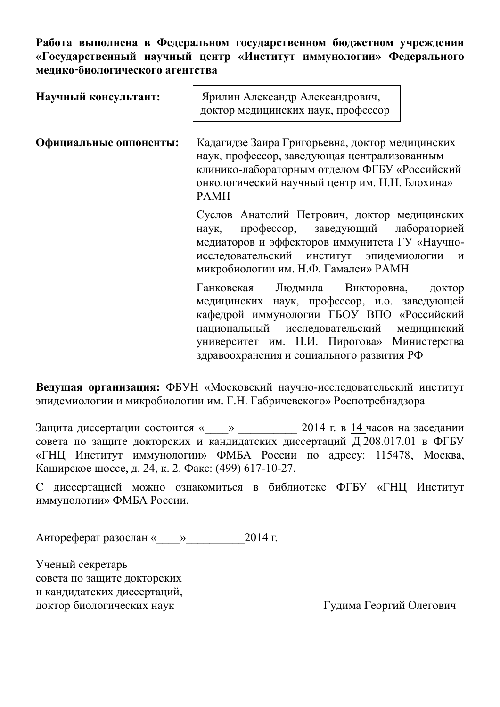Работа выполнена в Федеральном государственном бюджетном учреждении «Государственный научный центр «Институт иммунологии» Федерального **мелико-биологического агентства** 

| Научный консультант:   | Ярилин Александр Александрович,<br>доктор медицинских наук, профессор                                                                                                                                                                                          |  |  |  |
|------------------------|----------------------------------------------------------------------------------------------------------------------------------------------------------------------------------------------------------------------------------------------------------------|--|--|--|
| Официальные оппоненты: | Кадагидзе Заира Григорьевна, доктор медицинских<br>наук, профессор, заведующая централизованным<br>клинико-лабораторным отделом ФГБУ «Российский<br>онкологический научный центр им. Н.Н. Блохина»<br><b>PAMH</b>                                              |  |  |  |
|                        | Суслов Анатолий Петрович, доктор медицинских<br>профессор, заведующий лабораторией<br>наук,<br>медиаторов и эффекторов иммунитета ГУ «Научно-<br>исследовательский институт эпидемиологии<br>$\boldsymbol{\mathsf{M}}$<br>микробиологии им. Н.Ф. Гамалеи» РАМН |  |  |  |
|                        | Ганковская Людмила Викторовна,<br>доктор<br>медицинских наук, профессор, и.о. заведующей<br>кафедрой иммунологии ГБОУ ВПО «Российский<br>национальный исследовательский медицинский<br>университет им. Н.И. Пирогова» Министерства                             |  |  |  |

Ведущая организация: ФБУН «Московский научно-исследовательский институт эпидемиологии и микробиологии им. Г.Н. Габричевского» Роспотребнадзора

здравоохранения и социального развития РФ

Защита диссертации состоится «\_\_\_\_» \_\_\_\_\_\_\_\_ 2014 г. в 14 часов на заседании совета по защите докторских и кандидатских диссертаций Д 208.017.01 в ФГБУ «ГНЦ Институт иммунологии» ФМБА России по адресу: 115478, Москва, Каширское шоссе, д. 24, к. 2. Факс: (499) 617-10-27.

С диссертацией можно ознакомиться в библиотеке ФГБУ «ГНЦ Институт иммунологии» ФМБА России.

 $A$ втореферат разослан « » 2014 г.

Ученый секретарь совета по защите докторских и кандидатских диссертаций, доктор биологических наук и и поставляет и при принятно трудима Георгий Олегович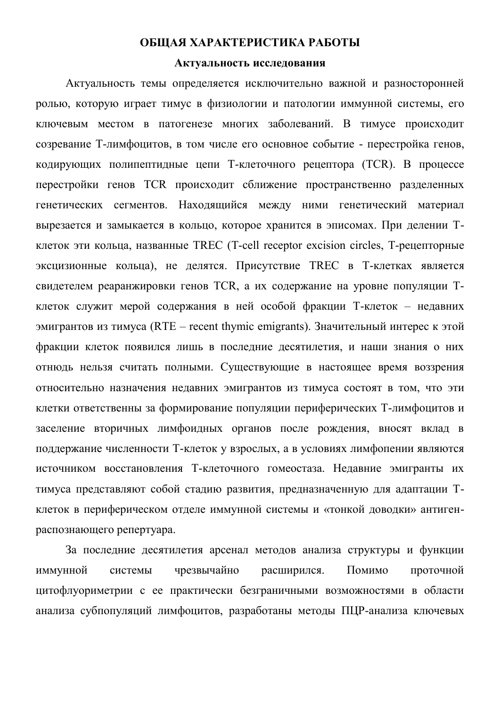# ОБЩАЯ ХАРАКТЕРИСТИКА РАБОТЫ

#### Актуальность исследования

Актуальность темы определяется исключительно важной и разносторонней ролью, которую играет тимус в физиологии и патологии иммунной системы, его ключевым местом в патогенезе многих заболеваний. В тимусе происходит созревание Т-лимфоцитов, в том числе его основное событие - перестройка генов, кодирующих полипептидные цепи Т-клеточного рецептора (TCR). В процессе перестройки генов TCR происходит сближение пространственно разделенных генетических сегментов. Находящийся между ними генетический материал вырезается и замыкается в кольцо, которое хранится в эписомах. При делении Тклеток эти кольца, названные TREC (T-cell receptor excision circles, T-рецепторные эксцизионные кольца), не делятся. Присутствие TREC в Т-клетках является свидетелем реаранжировки генов TCR, а их содержание на уровне популяции Тклеток служит мерой содержания в ней особой фракции Т-клеток – недавних эмигрантов из тимуса (RTE – recent thymic emigrants). Значительный интерес к этой фракции клеток появился лишь в последние десятилетия, и наши знания о них отнюдь нельзя считать полными. Существующие в настоящее время воззрения относительно назначения недавних эмигрантов из тимуса состоят в том, что эти клетки ответственны за формирование популяции периферических Т-лимфоцитов и заселение вторичных лимфоидных органов после рождения, вносят вклад в поддержание численности Т-клеток у взрослых, а в условиях лимфопении являются источником восстановления Т-клеточного гомеостаза. Недавние эмигранты их тимуса представляют собой стадию развития, предназначенную для адаптации Тклеток в периферическом отделе иммунной системы и «тонкой доводки» антигенраспознающего репертуара.

За последние десятилетия арсенал методов анализа структуры и функции иммунной системы чрезвычайно расширился. Помимо проточной цитофлуориметрии с ее практически безграничными возможностями в области анализа субпопуляций лимфоцитов, разработаны методы ПЦР-анализа ключевых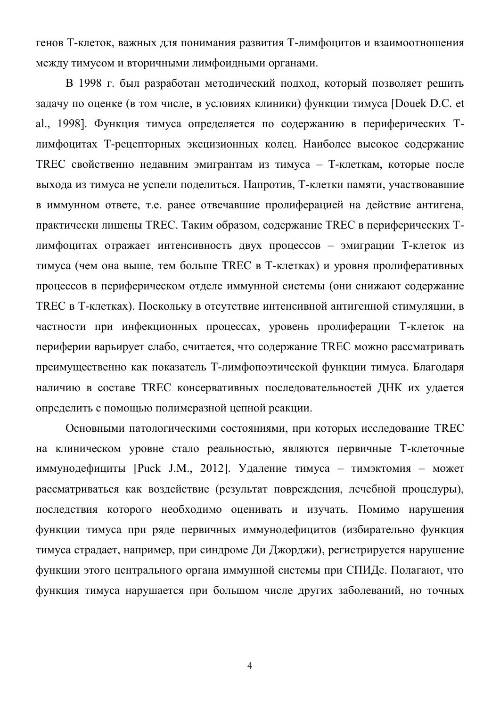генов Т-клеток, важных для понимания развития Т-лимфоцитов и взаимоотношения между тимусом и вторичными лимфоидными органами.

В 1998 г. был разработан методический подход, который позволяет решить задачу по оценке (в том числе, в условиях клиники) функции тимуса [Douek D.C. et al., 1998]. Функция тимуса определяется по содержанию в периферических Тлимфоцитах Т-рецепторных эксцизионных колец. Наиболее высокое содержание TREC свойственно недавним эмигрантам из тимуса - Т-клеткам, которые после выхода из тимуса не успели поделиться. Напротив, Т-клетки памяти, участвовавшие в иммунном ответе, т.е. ранее отвечавшие пролиферацией на действие антигена, практически лишены TREC. Таким образом, содержание TREC в периферических Тлимфоцитах отражает интенсивность двух процессов - эмиграции Т-клеток из тимуса (чем она выше, тем больше TREC в Т-клетках) и уровня пролиферативных процессов в периферическом отделе иммунной системы (они снижают содержание ТREC в Т-клетках). Поскольку в отсутствие интенсивной антигенной стимуляции, в частности при инфекционных процессах, уровень пролиферации Т-клеток на периферии варьирует слабо, считается, что содержание TREC можно рассматривать преимущественно как показатель Т-лимфопоэтической функции тимуса. Благодаря наличию в составе TREC консервативных последовательностей ДНК их удается определить с помощью полимеразной цепной реакции.

Основными патологическими состояниями, при которых исследование TREC на клиническом уровне стало реальностью, являются первичные Т-клеточные иммунодефициты [Puck J.M., 2012]. Удаление тимуса - тимэктомия - может рассматриваться как воздействие (результат повреждения, лечебной процедуры), последствия которого необходимо оценивать и изучать. Помимо нарушения функции тимуса при ряде первичных иммунодефицитов (избирательно функция тимуса страдает, например, при синдроме Ди Джорджи), регистрируется нарушение функции этого центрального органа иммунной системы при СПИДе. Полагают, что функция тимуса нарушается при большом числе других заболеваний, но точных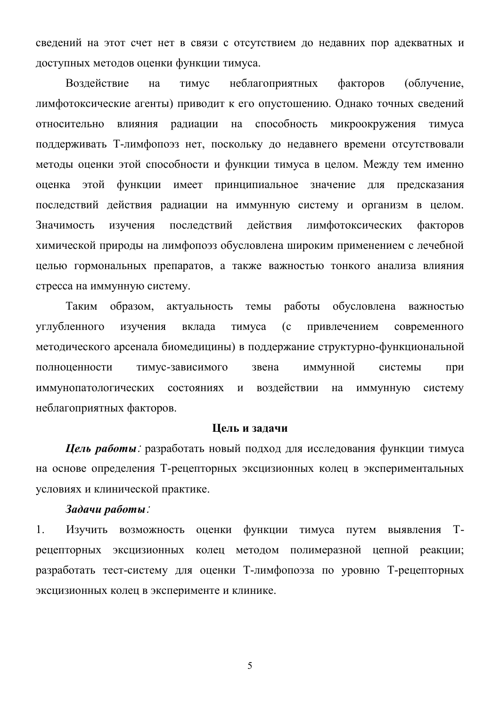сведений на этот счет нет в связи с отсутствием до недавних пор адекватных и доступных методов оценки функции тимуса.

Воздействие на тимус неблагоприятных факторов (облучение, лимфотоксические агенты) приводит к его опустошению. Однако точных сведений относительно влияния радиации на способность микроокружения тимуса поддерживать Т-лимфопоэз нет, поскольку до недавнего времени отсутствовали методы оценки этой способности и функции тимуса в целом. Между тем именно оценка этой функции имеет принципиальное значение для предсказания последствий действия радиации на иммунную систему и организм в целом. Значимость изучения последствий действия лимфотоксических факторов химической природы на лимфопоэз обусловлена широким применением с лечебной целью гормональных препаратов, а также важностью тонкого анализа влияния стресса на иммунную систему.

Таким образом, актуальность темы работы обусловлена важностью үглүбленного изучения вклада тимуса (с привлечением современного методического арсенала биомедицины) в поддержание структурно-функциональной полноценности тимус-зависимого звена иммунной системы при иммунопатологических состояниях и воздействии на иммунную систему неблагоприятных факторов.

#### **Шель** и задачи

**Цель работы**: разработать новый подход для исследования функции тимуса на основе определения Т-рецепторных эксцизионных колец в экспериментальных условиях и клинической практике.

#### $3$ *adavu pabomы*:

1. Изучить возможность оценки функции тимуса путем выявления Трецепторных эксцизионных колец методом полимеразной цепной реакции; разработать тест-систему для оценки Т-лимфопоэза по уровню Т-рецепторных эксцизионных колец в эксперименте и клинике.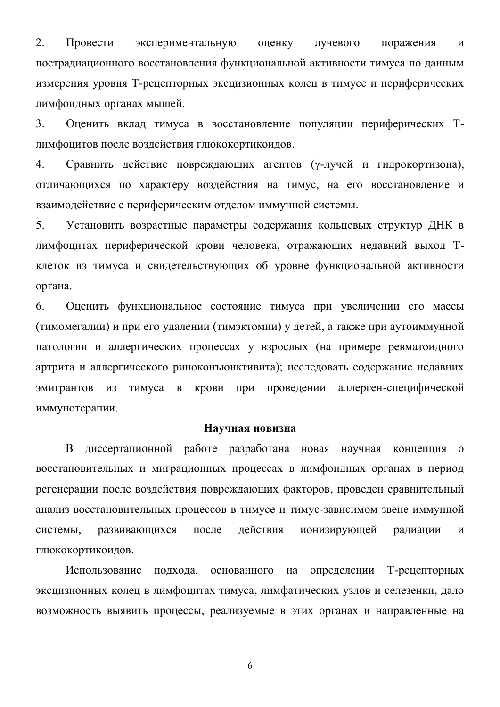2. Провести экспериментальную оценку лучевого поражения и пострадиационного восстановления функциональной активности тимуса по данным измерения уровня Т-рецепторных эксцизионных колец в тимусе и периферических лимфоидных органах мышей.

3. Оценить вклад тимуса в восстановление популяции периферических Тлимфоцитов после воздействия глюкокортикоидов.

4. Сравнить действие повреждающих агентов (у-лучей и гидрокортизона), отличающихся по характеру воздействия на тимус, на его восстановление и взаимодействие с периферическим отделом иммунной системы.

5. Установить возрастные параметры содержания кольцевых структур ДНК в лимфоцитах периферической крови человека, отражающих недавний выход Тклеток из тимуса и свидетельствующих об уровне функциональной активности органа.

6. Оценить функциональное состояние тимуса при увеличении его массы (тимомегалии) и при его удалении (тимэктомии) у детей, а также при аутоиммунной патологии и аллергических процессах у взрослых (на примере ревматоидного артрита и аллергического риноконъюнктивита); исследовать содержание недавних эмигрантов из тимуса в крови при проведении аллерген-специфической иммунотерапии.

#### Научная новизна

В диссертационной работе разработана новая научная концепция о восстановительных и миграционных процессах в лимфоидных органах в период регенерации после воздействия повреждающих факторов, проведен сравнительный анализ восстановительных процессов в тимусе и тимус-зависимом звене иммунной системы, развивающихся после действия ионизирующей радиации и глюкокортикоидов.

Использование подхода, основанного на определении Т-рецепторных эксцизионных колец в лимфоцитах тимуса, лимфатических узлов и селезенки, дало возможность выявить процессы, реализуемые в этих органах и направленные на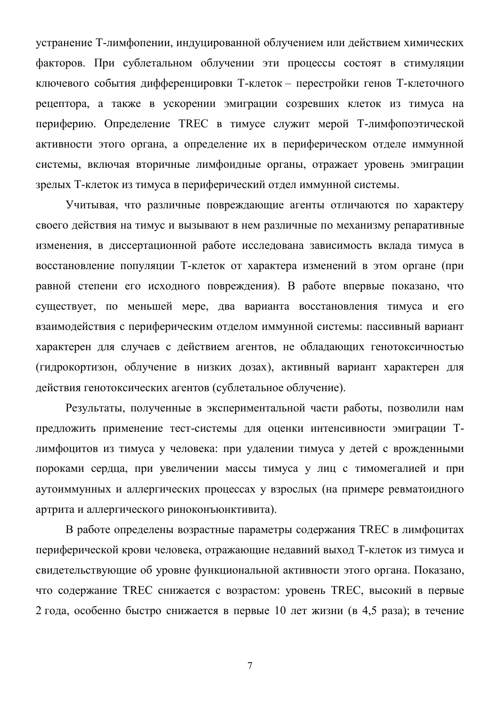устранение Т-лимфопении, индуцированной облучением или действием химических факторов. При сублетальном облучении эти процессы состоят в стимуляции ключевого события дифференцировки Т-клеток – перестройки генов Т-клеточного рецептора, а также в ускорении эмиграции созревших клеток из тимуса на периферию. Определение TREC в тимусе служит мерой Т-лимфопоэтической активности этого органа, а определение их в периферическом отделе иммунной системы, включая вторичные лимфоидные органы, отражает уровень эмиграции зрелых Т-клеток из тимуса в периферический отдел иммунной системы.

Учитывая, что различные повреждающие агенты отличаются по характеру своего действия на тимус и вызывают в нем различные по механизму репаративные изменения, в диссертационной работе исследована зависимость вклада тимуса в восстановление популяции Т-клеток от характера изменений в этом органе (при равной степени его исходного повреждения). В работе впервые показано, что существует, по меньшей мере, два варианта восстановления тимуса и его взаимодействия с периферическим отделом иммунной системы: пассивный вариант характерен для случаев с действием агентов, не обладающих генотоксичностью (гидрокортизон, облучение в низких дозах), активный вариант характерен для действия генотоксических агентов (сублетальное облучение).

Результаты, полученные в экспериментальной части работы, позволили нам предложить применение тест-системы для оценки интенсивности эмиграции Тлимфоцитов из тимуса у человека: при удалении тимуса у детей с врожденными пороками сердца, при увеличении массы тимуса у лиц с тимомегалией и при аутоиммунных и аллергических процессах у взрослых (на примере ревматоидного артрита и аллергического риноконъюнктивита).

В работе определены возрастные параметры содержания ТREC в лимфоцитах периферической крови человека, отражающие недавний выход Т-клеток из тимуса и свидетельствующие об уровне функциональной активности этого органа. Показано, что содержание TREC снижается с возрастом: уровень TREC, высокий в первые 2 года, особенно быстро снижается в первые 10 лет жизни (в 4,5 раза); в течение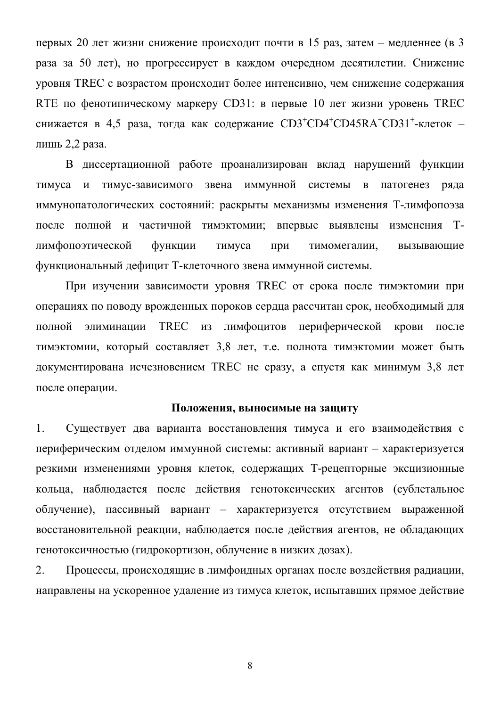первых 20 лет жизни снижение происходит почти в 15 раз, затем – медленнее (в 3 раза за 50 лет), но прогрессирует в каждом очередном десятилетии. Снижение уровня TREC с возрастом происходит более интенсивно, чем снижение содержания RTE по фенотипическому маркеру CD31: в первые 10 лет жизни уровень TREC снижается в 4,5 раза, тогда как содержание CD3<sup>+</sup>CD4<sup>+</sup>CD45RA<sup>+</sup>CD31<sup>+</sup>-клеток – лишь 2.2 раза.

В диссертационной работе проанализирован вклад нарушений функции тимуса и тимус-зависимого звена иммунной системы в патогенез ряда иммунопатологических состояний: раскрыты механизмы изменения Т-лимфопоэза после полной и частичной тимэктомии; впервые выявлены изменения Тлимфопоэтической функции тимуса при тимомегалии, вызывающие функциональный дефицит Т-клеточного звена иммунной системы.

При изучении зависимости уровня TREC от срока после тимэктомии при операциях по поводу врожденных пороков сердца рассчитан срок, необходимый для полной элиминации TREC из лимфоцитов периферической крови после тимэктомии, который составляет 3,8 лет, т.е. полнота тимэктомии может быть документирована исчезновением TREC не сразу, а спустя как минимум 3,8 лет после операции.

#### Положения, выносимые на защиту

1. Существует два варианта восстановления тимуса и его взаимодействия с периферическим отделом иммунной системы: активный вариант - характеризуется резкими изменениями уровня клеток, содержащих Т-рецепторные эксцизионные кольца, наблюдается после действия генотоксических агентов (сублетальное облучение), пассивный вариант – характеризуется отсутствием выраженной восстановительной реакции, наблюдается после действия агентов, не обладающих генотоксичностью (гидрокортизон, облучение в низких дозах).

2. Процессы, происходящие в лимфоидных органах после воздействия радиации, направлены на ускоренное удаление из тимуса клеток, испытавших прямое действие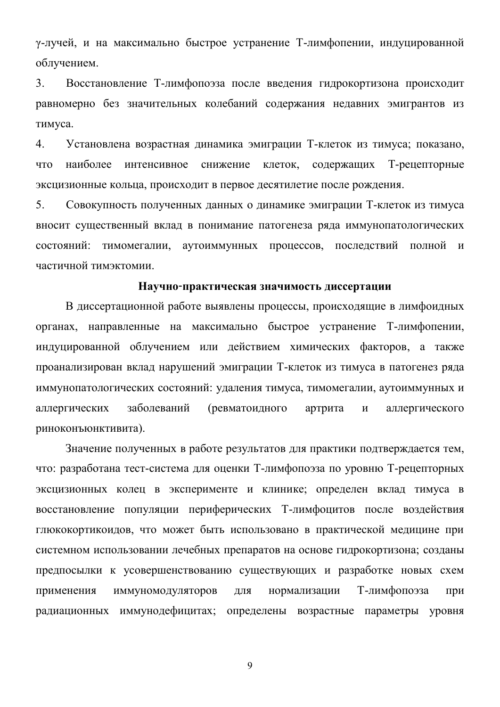у-лучей, и на максимально быстрое устранение Т-лимфопении, индуцированной облучением.

3. Восстановление Т-лимфопоэза после введения гидрокортизона происходит равномерно без значительных колебаний содержания недавних эмигрантов из тимуса.

4. Установлена возрастная динамика эмиграции Т-клеток из тимуса; показано, что наиболее интенсивное снижение клеток, содержащих Т-рецепторные эксцизионные кольца, происходит в первое десятилетие после рождения.

5. Совокупность полученных данных о динамике эмиграции Т-клеток из тимуса вносит существенный вклад в понимание патогенеза ряда иммунопатологических состояний: тимомегалии, аутоиммунных процессов, последствий полной и частичной тимэктомии.

#### Научно-практическая значимость диссертации

В диссертационной работе выявлены процессы, происходящие в лимфоидных органах, направленные на максимально быстрое устранение Т-лимфопении, индуцированной облучением или действием химических факторов, а также проанализирован вклад нарушений эмиграции Т-клеток из тимуса в патогенез ряда иммунопатологических состояний: удаления тимуса, тимомегалии, аутоиммунных и аллергических заболеваний (ревматоидного артрита и аллергического риноконъюнктивита).

Значение полученных в работе результатов для практики подтверждается тем, что: разработана тест-система для оценки Т-лимфопоэза по уровню Т-рецепторных эксцизионных колец в эксперименте и клинике; определен вклад тимуса в восстановление популяции периферических Т-лимфоцитов после воздействия глюкокортикоидов, что может быть использовано в практической медицине при системном использовании лечебных препаратов на основе гидрокортизона; созданы предпосылки к усовершенствованию существующих и разработке новых схем применения иммуномодуляторов для нормализации Т-лимфопоэза при радиационных иммунодефицитах; определены возрастные параметры уровня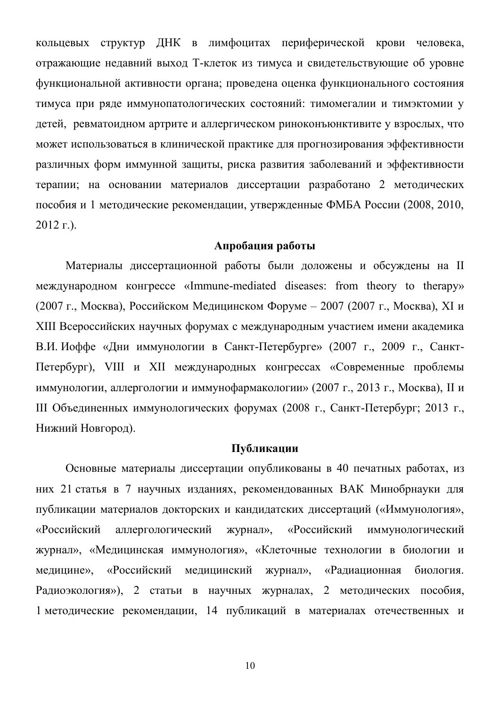кольцевых структур ДНК в лимфоцитах периферической крови человека, отражающие недавний выход Т-клеток из тимуса и свидетельствующие об уровне функциональной активности органа; проведена оценка функционального состояния тимуса при ряде иммунопатологических состояний: тимомегалии и тимэктомии у детей, ревматоидном артрите и аллергическом риноконъюнктивите у взрослых, что может использоваться в клинической практике для прогнозирования эффективности различных форм иммунной защиты, риска развития заболеваний и эффективности терапии; на основании материалов диссертации разработано 2 методических пособия и 1 методические рекомендации, утвержденные ФМБА России (2008, 2010,  $2012$  r.).

## Апробация работы

Материалы диссертационной работы были доложены и обсуждены на II международном конгрессе «Immune-mediated diseases: from theory to therapy» (2007 г., Москва), Российском Медицинском Форуме – 2007 (2007 г., Москва), XI и XIII Всероссийских научных форумах с международным участием имени академика В.И. Иоффе «Дни иммунологии в Санкт-Петербурге» (2007 г., 2009 г., Санкт-Петербург), VIII и XII международных конгрессах «Современные проблемы иммунологии, аллергологии и иммунофармакологии» (2007 г., 2013 г., Москва), II и III Объединенных иммунологических форумах (2008 г., Санкт-Петербург; 2013 г., Нижний Новгород).

## Публикации

Основные материалы диссертации опубликованы в 40 печатных работах, из них 21 статья в 7 научных изданиях, рекомендованных ВАК Минобрнауки для публикации материалов докторских и кандидатских диссертаций («Иммунология», «Российский аллергологический журнал», «Российский иммунологический журнал», «Медицинская иммунология», «Клеточные технологии в биологии и медицине», «Российский медицинский журнал», «Радиационная биология. Радиоэкология»), 2 статьи в научных журналах, 2 методических пособия, 1 методические рекомендации, 14 публикаций в материалах отечественных и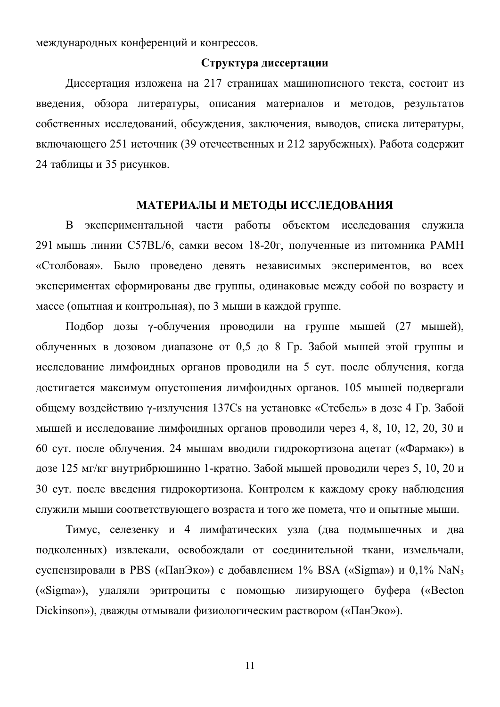международных конференций и конгрессов.

## Структура лиссертации

Диссертация изложена на 217 страницах машинописного текста, состоит из введения, обзора литературы, описания материалов и методов, результатов собственных исследований, обсуждения, заключения, выводов, списка литературы, включающего 251 источник (39 отечественных и 212 зарубежных). Работа содержит 24 таблицы и 35 рисунков.

#### МАТЕРИАЛЫ И МЕТОДЫ ИССЛЕДОВАНИЯ

В экспериментальной части работы объектом исследования служила 291 мышь линии C57BL/6, самки весом 18-20г, полученные из питомника РАМН «Столбовая». Было проведено девять независимых экспериментов, во всех экспериментах сформированы две группы, одинаковые между собой по возрасту и массе (опытная и контрольная), по 3 мыши в каждой группе.

Подбор дозы у-облучения проводили на группе мышей (27 мышей), облученных в дозовом диапазоне от 0,5 до 8 Гр. Забой мышей этой группы и исследование лимфоидных органов проводили на 5 сут. после облучения, когда достигается максимум опустошения лимфоидных органов. 105 мышей подвергали общему воздействию у-излучения 137Cs на установке «Стебель» в дозе 4 Гр. Забой мышей и исследование лимфоидных органов проводили через 4, 8, 10, 12, 20, 30 и 60 сут. после облучения. 24 мышам вводили гидрокортизона ацетат («Фармак») в дозе 125 мг/кг внутрибрюшинно 1-кратно. Забой мышей проводили через 5, 10, 20 и 30 сут. после введения гидрокортизона. Контролем к каждому сроку наблюдения служили мыши соответствующего возраста и того же помета, что и опытные мыши.

Тимус, селезенку и 4 лимфатических узла (два подмышечных и два подколенных) извлекали, освобождали от соединительной ткани, измельчали, суспензировали в PBS («ПанЭко») с добавлением  $1\%$  BSA («Sigma») и 0.1% NaN<sub>3</sub> («Sigma»), удаляли эритроциты с помощью лизирующего буфера («Becton Dickinson»), дважды отмывали физиологическим раствором («ПанЭко»).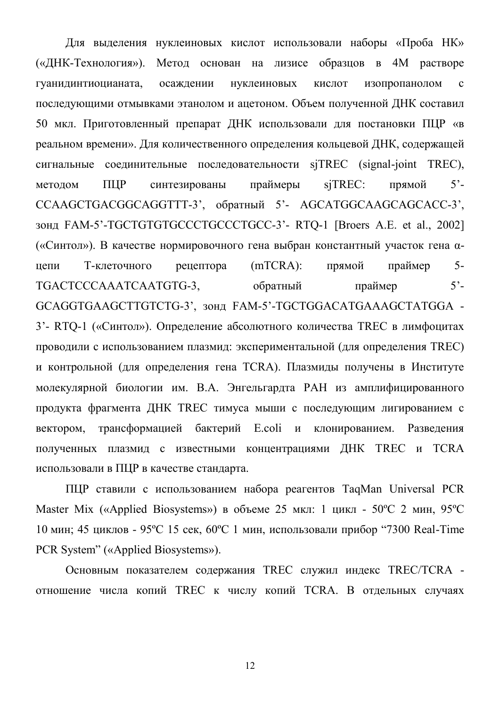Для выделения нуклеиновых кислот использовали наборы «Проба НК» («ДНК-Технология»). Метод основан на лизисе образцов в 4М растворе гуанидинтиоцианата, осаждении нуклеиновых кислот изопропанолом с последующими отмывками этанолом и ацетоном. Объем полученной ДНК составил 50 мкл. Приготовленный препарат ДНК использовали для постановки ПЦР «в реальном времени». Для количественного определения кольцевой ДНК, содержащей сигнальные соединительные последовательности sjTREC (signal-joint TREC), методом ПЦР синтезированы праймеры sjTREC: прямой 5<sup>2</sup>-CCAAGCTGACGGCAGGTTT-3', обратный 5'- AGCATGGCAAGCAGCACC-3', зонд FAM-5'-TGCTGTGTGCCCTGCCCTGCC-3'- RTQ-1 [Broers A.E. et al., 2002] («Синтол»). В качестве нормировочного гена выбран константный участок гена αцепи Т-клеточного рецептора (mTCRA): прямой праймер 5-TGACTCCCAAATCAATGTG-3, обратный праймер 5<sup>2</sup>-GCAGGTGAAGCTTGTCTG-3', 30HA FAM-5'-TGCTGGACATGAAAGCTATGGA -3'- RTQ-1 («Синтол»). Определение абсолютного количества TREC в лимфоцитах проводили с использованием плазмид: экспериментальной (для определения TREC) и контрольной (для определения гена TCRA). Плазмиды получены в Институте молекулярной биологии им. В.А. Энгельгардта РАН из амплифицированного продукта фрагмента ДНК TREC тимуса мыши с последующим лигированием с вектором, трансформацией бактерий E.coli и клонированием. Разведения полученных плазмид с известными концентрациями ДНК TREC и TCRA использовали в ПЦР в качестве стандарта.

ПЦР ставили с использованием набора реагентов TaqMan Universal PCR Master Mix («Applied Biosystems») в объеме 25 мкл: 1 цикл -  $50^{\circ}$ С 2 мин, 95 $^{\circ}$ С 10 мин; 45 циклов - 95°С 15 сек, 60°С 1 мин, использовали прибор "7300 Real-Time" PCR System" («Applied Biosystems»).

Основным показателем содержания TREC служил индекс TREC/TCRA отношение числа копий TREC к числу копий TCRA. В отдельных случаях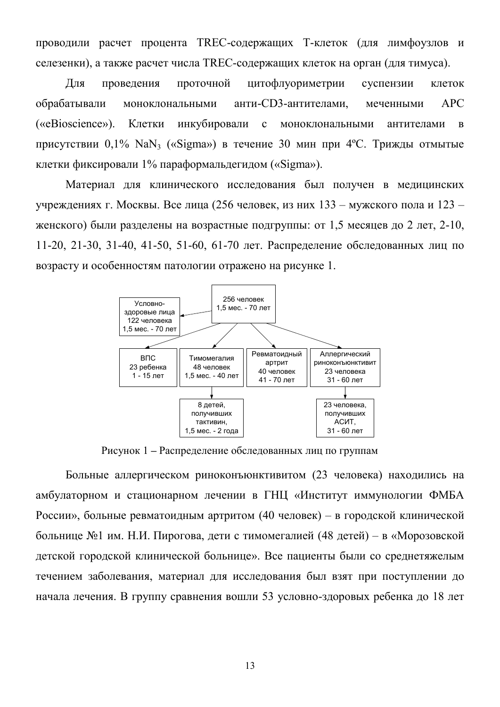проводили расчет процента TREC-содержащих Т-клеток (для лимфоузлов и селезенки), а также расчет числа TREC-содержащих клеток на орган (для тимуса).

Для проведения проточной цитофлуориметрии суспензии клеток обрабатывали моноклональными анти-CD3-антителами, меченными АРС («eBioscience»). Клетки инкубировали с моноклональными антителами в присутствии  $0.1\%$  NaN<sub>3</sub> («Sigma») в течение 30 мин при 4°С. Трижды отмытые клетки фиксировали  $1\%$  параформальдегидом («Sigma»).

Материал для клинического исследования был получен в медицинских үчреждениях г. Москвы. Все лица (256 человек, из них 133 – мужского пола и 123 – женского) были разделены на возрастные подгруппы: от 1,5 месяцев до 2 лет, 2-10, 11-20, 21-30, 31-40, 41-50, 51-60, 61-70 лет. Распределение обследованных лиц по возрасту и особенностям патологии отражено на рисунке 1.



Рисунок 1 - Распределение обследованных лиц по группам

Больные аллергическом риноконъюнктивитом (23 человека) находились на амбулаторном и стационарном лечении в ГНЦ «Институт иммунологии ФМБА России», больные ревматоидным артритом (40 человек) – в городской клинической больнице №1 им. Н.И. Пирогова, дети с тимомегалией (48 детей) – в «Морозовской детской городской клинической больнице». Все пациенты были со среднетяжелым течением заболевания, материал для исследования был взят при поступлении до начала лечения. В группу сравнения вошли 53 условно-здоровых ребенка до 18 лет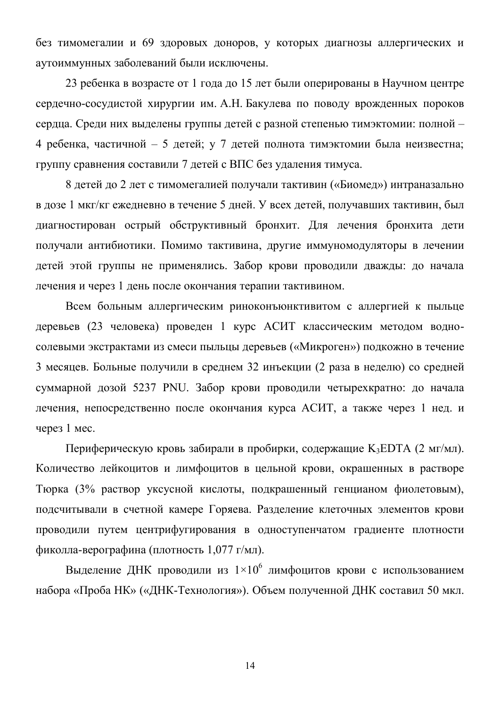без тимомегалии и 69 здоровых доноров, у которых диагнозы аллергических и аутоиммунных заболеваний были исключены.

23 ребенка в возрасте от 1 года до 15 лет были оперированы в Научном центре сердечно-сосудистой хирургии им. А.Н. Бакулева по поводу врожденных пороков сердца. Среди них выделены группы детей с разной степенью тимэктомии: полной -4 ребенка, частичной – 5 детей; у 7 детей полнота тимэктомии была неизвестна; группу сравнения составили 7 детей с ВПС без удаления тимуса.

8 детей до 2 лет с тимомегалией получали тактивин («Биомед») интраназально в дозе 1 мкг/кг ежедневно в течение 5 дней. У всех детей, получавших тактивин, был диагностирован острый обструктивный бронхит. Для лечения бронхита дети получали антибиотики. Помимо тактивина, другие иммуномодуляторы в лечении детей этой группы не применялись. Забор крови проводили дважды: до начала лечения и через 1 день после окончания терапии тактивином.

Всем больным аллергическим риноконъюнктивитом с аллергией к пыльце деревьев (23 человека) проведен 1 курс АСИТ классическим методом водносолевыми экстрактами из смеси пыльцы деревьев («Микроген») подкожно в течение 3 месяцев. Больные получили в среднем 32 инъекции (2 раза в неделю) со средней суммарной дозой 5237 PNU. Забор крови проводили четырехкратно: до начала лечения, непосредственно после окончания курса АСИТ, а также через 1 нед. и через  $1$  мес.

Периферическую кровь забирали в пробирки, содержащие  $K_3EDTA$  (2 мг/мл). Количество лейкоцитов и лимфоцитов в цельной крови, окрашенных в растворе Тюрка (3% раствор уксусной кислоты, подкрашенный генцианом фиолетовым), подсчитывали в счетной камере Горяева. Разделение клеточных элементов крови проводили путем центрифугирования в одноступенчатом градиенте плотности фиколла-верографина (плотность 1,077 г/мл).

Выделение ДНК проводили из  $1\times10^6$  лимфоцитов крови с использованием набора «Проба НК» («ДНК-Технология»). Объем полученной ДНК составил 50 мкл.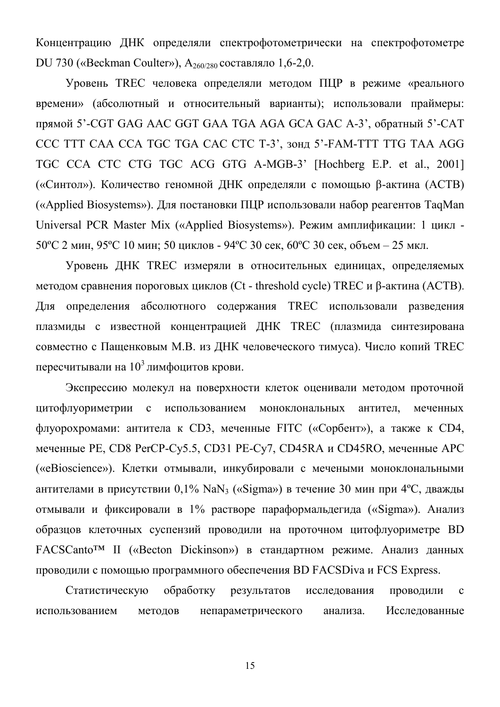Концентрацию ДНК определяли спектрофотометрически на спектрофотометре DU 730 («Beckman Coulter»),  $A_{260/280}$  составляло 1,6-2,0.

Уровень TREC человека определяли методом ПЦР в режиме «реального времени» (абсолютный и относительный варианты); использовали праймеры: прямой 5'-CGT GAG AAC GGT GAA TGA AGA GCA GAC A-3', обратный 5'-CAT CCC TTT CAA CCA TGC TGA CAC CTC T-3', 30HJ 5'-FAM-TTT TTG TAA AGG TGC CCA CTC CTG TGC ACG GTG A-MGB-3' [Hochberg E.P. et al., 2001] («Синтол»). Количество геномной ДНК определяли с помощью β-актина (АСТВ)  $(\kappa$ Applied Biosystems»). Для постановки ПЦР использовали набор реагентов TaqMan Universal PCR Master Mix («Applied Biosystems»). Режим амплификации: 1 цикл -50°С 2 мин, 95°С 10 мин; 50 циклов - 94°С 30 сек, 60°С 30 сек, объем – 25 мкл.

Уровень ДНК TREC измеряли в относительных единицах, определяемых методом сравнения пороговых циклов (Ct - threshold cycle) TREC и  $\beta$ -актина (ACTB). Для определения абсолютного содержания TREC использовали разведения плазмиды с известной концентрацией ДНК ТREC (плазмида синтезирована совместно с Пащенковым М.В. из ДНК человеческого тимуса). Число копий TREC пересчитывали на  $10^3$  лимфоцитов крови.

Экспрессию молекул на поверхности клеток оценивали методом проточной цитофлуориметрии с использованием моноклональных антител, меченных флуорохромами: антитела к CD3, меченные FITC («Сорбент»), а также к CD4, меченные PE, CD8 PerCP-Cy5.5, CD31 PE-Cy7, CD45RA и CD45RO, меченные APC («eBioscience»). Клетки отмывали, инкубировали с мечеными моноклональными антителами в присутствии  $0.1\%$  NaN<sub>3</sub> («Sigma») в течение 30 мин при 4°С, дважды отмывали и фиксировали в 1% растворе параформальдегида («Sigma»). Анализ образцов клеточных суспензий проводили на проточном цитофлуориметре BD FACSCanto<sup>™</sup> II («Becton Dickinson») в стандартном режиме. Анализ данных проводили с помощью программного обеспечения BD FACSDiva и FCS Express.

Статистическую обработку результатов исследования проводили с использованием методов непараметрического анализа. Исследованные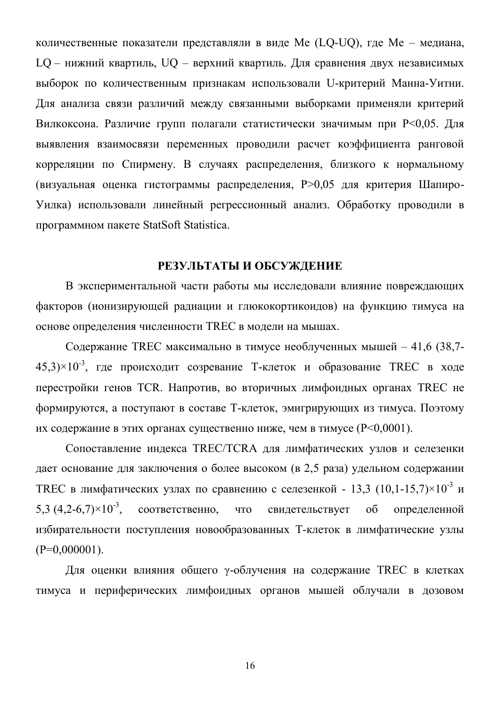количественные показатели представляли в виде Ме (LQ-UQ), где Ме - медиана, LQ - нижний квартиль, UQ - верхний квартиль. Для сравнения двух независимых выборок по количественным признакам использовали U-критерий Манна-Уитни. Для анализа связи различий между связанными выборками применяли критерий Вилкоксона. Различие групп полагали статистически значимым при Р<0,05. Для выявления взаимосвязи переменных проводили расчет коэффициента ранговой корреляции по Спирмену. В случаях распределения, близкого к нормальному (визуальная оценка гистограммы распределения, P>0,05 для критерия Шапиро-Уилка) использовали линейный регрессионный анализ. Обработку проводили в программном пакете StatSoft Statistica.

## РЕЗУЛЬТАТЫ И ОБСУЖДЕНИЕ

В экспериментальной части работы мы исследовали влияние повреждающих факторов (ионизирующей радиации и глюкокортикоидов) на функцию тимуса на основе определения численности TREC в модели на мышах.

Содержание TREC максимально в тимусе необлученных мышей - 41,6 (38,7-45,3) $\times$ 10<sup>-3</sup>, где происходит созревание Т-клеток и образование TREC в ходе перестройки генов TCR. Напротив, во вторичных лимфоидных органах TREC не формируются, а поступают в составе Т-клеток, эмигрирующих из тимуса. Поэтому их содержание в этих органах существенно ниже, чем в тимусе ( $P<0.0001$ ).

Сопоставление индекса TREC/TCRA для лимфатических узлов и селезенки дает основание для заключения о более высоком (в 2,5 раза) удельном содержании ТREC в лимфатических узлах по сравнению с селезенкой - 13,3 (10,1-15,7) $\times$ 10<sup>-3</sup> и 5,3  $(4,2-6,7) \times 10^{-3}$ , соответственно, что свидетельствует об определенной избирательности поступления новообразованных Т-клеток в лимфатические узлы  $(P=0,000001)$ .

Для оценки влияния общего у-облучения на содержание TREC в клетках тимуса и периферических лимфоидных органов мышей облучали в дозовом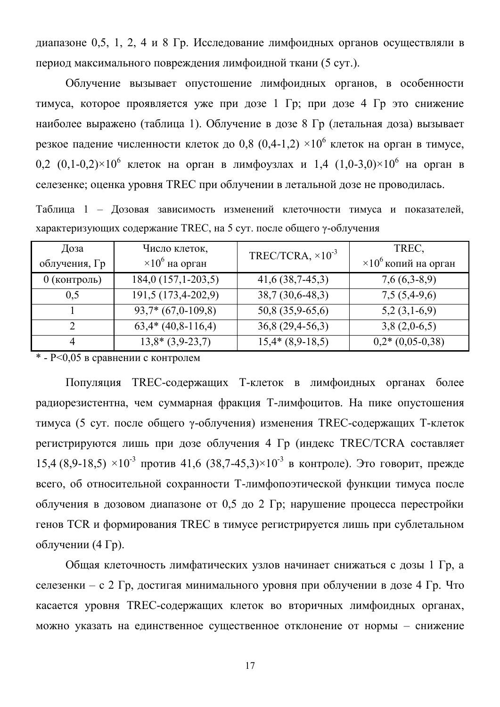диапазоне 0.5, 1, 2, 4 и 8 Гр. Исследование лимфоидных органов осуществляли в период максимального повреждения лимфоидной ткани (5 сут.).

Облучение вызывает опустошение лимфоидных органов, в особенности тимуса, которое проявляется уже при дозе 1 Гр; при дозе 4 Гр это снижение наиболее выражено (таблица 1). Облучение в дозе 8 Гр (летальная доза) вызывает резкое падение численности клеток до 0.8 (0.4-1.2)  $\times 10^6$  клеток на орган в тимусе. 0.2  $(0.1-0.2) \times 10^6$  knetok ha optah b numdovsnax  $\mu$  1.4  $(1.0-3.0) \times 10^6$  ha optah b селезенке; оценка уровня TREC при облучении в летальной дозе не проводилась.

Таблица 1 - Дозовая зависимость изменений клеточности тимуса и показателей, характеризующих содержание TREC, на 5 сут. после общего у-облучения

| Доза<br>облучения, Гр       | Число клеток,<br>$\times 10^6$ на орган | TREC/TCRA, $\times 10^{-3}$ | TREC,<br>$\times 10^6$ копий на орган |
|-----------------------------|-----------------------------------------|-----------------------------|---------------------------------------|
| $0$ (контроль)              | $184,0(157,1-203,5)$                    | $41,6$ (38,7-45,3)          | $7,6(6,3-8,9)$                        |
| 0,5                         | 191,5 (173,4-202,9)                     | $38,7(30,6-48,3)$           | $7,5(5,4-9,6)$                        |
|                             | $93,7*(67,0-109,8)$                     | 50,8 (35,9-65,6)            | $5,2(3,1-6,9)$                        |
| $\mathcal{D}_{\mathcal{A}}$ | $63,4*(40,8-116,4)$                     | $36,8(29,4-56,3)$           | $3,8(2,0-6,5)$                        |
| 4                           | $13,8*(3,9-23,7)$                       | $15,4*(8,9-18,5)$           | $0,2*(0,05-0,38)$                     |

 $*$  - P<0.05 в сравнении с контролем

Популяция ТREC-содержащих Т-клеток в лимфоидных органах более радиорезистентна, чем суммарная фракция Т-лимфоцитов. На пике опустошения тимуса (5 сут. после общего у-облучения) изменения TREC-содержащих Т-клеток регистрируются лишь при дозе облучения 4 Гр (индекс TREC/TCRA составляет  $15.4$  (8.9-18.5)  $\times 10^{-3}$  против 41.6 (38.7-45.3) $\times 10^{-3}$  в контроле). Это говорит, прежде всего, об относительной сохранности Т-лимфопоэтической функции тимуса после облучения в дозовом диапазоне от 0,5 до 2 Гр; нарушение процесса перестройки генов TCR и формирования TREC в тимусе регистрируется лишь при сублетальном облучении  $(4 \Gamma p)$ .

Общая клеточность лимфатических узлов начинает снижаться с дозы 1 Гр, а селезенки – с 2 Гр, достигая минимального уровня при облучении в дозе 4 Гр. Что касается уровня TREC-содержащих клеток во вторичных лимфоидных органах, можно указать на единственное существенное отклонение от нормы - снижение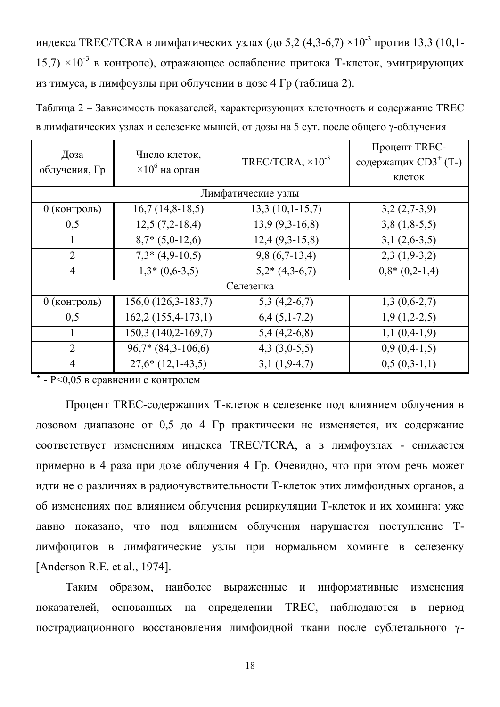индекса TREC/TCRA в лимфатических узлах (до 5,2 (4,3-6,7)  $\times 10^{-3}$  против 13,3 (10,1-15.7)  $\times 10^{-3}$  в контроле), отражающее ослабление притока Т-клеток, эмигрирующих из тимуса, в лимфоузлы при облучении в дозе 4 Гр (таблица 2).

Таблица 2 – Зависимость показателей, характеризующих клеточность и содержание TREC в лимфатических узлах и селезенке мышей, от дозы на 5 сут. после общего у-облучения

| Доза           |                        | Число клеток,               |                                  |
|----------------|------------------------|-----------------------------|----------------------------------|
| облучения, Гр  | $\times 10^6$ на орган | TREC/TCRA, $\times 10^{-3}$ | содержащих CD3 <sup>+</sup> (T-) |
|                |                        |                             | клеток                           |
|                |                        | Лимфатические узлы          |                                  |
| 0 (контроль)   | $16,7(14,8-18,5)$      | $13,3(10,1-15,7)$           | $3,2(2,7-3,9)$                   |
| 0,5            | $12,5(7,2-18,4)$       | $13,9(9,3-16,8)$            | $3,8(1,8-5,5)$                   |
| 1              | $8,7*(5,0-12,6)$       | $12,4(9,3-15,8)$            | $3,1(2,6-3,5)$                   |
| $\overline{2}$ | $7,3*(4,9-10,5)$       | $9,8(6,7-13,4)$             | $2,3(1,9-3,2)$                   |
| $\overline{4}$ | $1,3*(0,6-3,5)$        | $5,2*(4,3-6,7)$             | $0,8*(0,2-1,4)$                  |
|                |                        | Селезенка                   |                                  |
| 0 (контроль)   | $156,0(126,3-183,7)$   | $5,3(4,2-6,7)$              | $1,3(0,6-2,7)$                   |
| 0,5            | $162,2(155,4-173,1)$   | $6,4(5,1-7,2)$              | $1,9(1,2-2,5)$                   |
|                | 150,3 (140,2-169,7)    | $5,4(4,2-6,8)$              | $1,1(0,4-1,9)$                   |
| $\overline{2}$ | $96,7*$ $(84,3-106,6)$ | $4,3(3,0-5,5)$              | $0,9(0,4-1,5)$                   |
| $\overline{4}$ | $27,6*(12,1-43,5)$     | $3,1(1,9-4,7)$              | $0,5(0,3-1,1)$                   |

 $*$  - P<0.05 в сравнении с контролем

Процент TREC-содержащих Т-клеток в селезенке под влиянием облучения в дозовом диапазоне от 0,5 до 4 Гр практически не изменяется, их содержание соответствует изменениям индекса TREC/TCRA, а в лимфоузлах - снижается примерно в 4 раза при дозе облучения 4 Гр. Очевидно, что при этом речь может идти не о различиях в радиочувствительности Т-клеток этих лимфоидных органов, а об изменениях под влиянием облучения рециркуляции Т-клеток и их хоминга: уже давно показано, что под влиянием облучения нарушается поступление Тлимфоцитов в лимфатические узлы при нормальном хоминге в селезенку [Anderson R.E. et al., 1974].

Таким образом, наиболее выраженные и информативные изменения показателей, основанных на определении TREC, наблюдаются в период пострадиационного восстановления лимфоидной ткани после сублетального  $\gamma$ -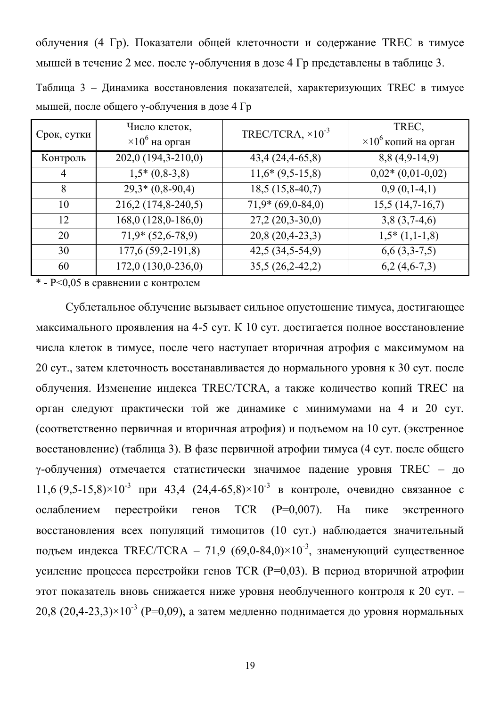облучения (4 Гр). Показатели общей клеточности и содержание TREC в тимусе мышей в течение 2 мес. после у-облучения в дозе 4 Гр представлены в таблице 3.

Таблица 3 – Динамика восстановления показателей, характеризующих TREC в тимусе мышей, после общего у-облучения в дозе 4 Гр

| Срок, сутки | Число клеток,<br>$\times 10^6$ на орган | TREC/TCRA, $\times 10^{-3}$ | TREC,<br>$\times 10^6$ копий на орган |
|-------------|-----------------------------------------|-----------------------------|---------------------------------------|
| Контроль    | 202,0 (194,3-210,0)                     | $43,4(24,4-65,8)$           | $8,8(4,9-14,9)$                       |
| 4           | $1,5*(0,8-3,8)$                         | $11,6*(9,5-15,8)$           | $0,02*(0,01-0,02)$                    |
| 8           | $29,3*(0,8-90,4)$                       | $18,5(15,8-40,7)$           | $0,9(0,1-4,1)$                        |
| 10          | 216,2 (174,8-240,5)                     | $71,9*(69,0-84,0)$          | $15,5(14,7-16,7)$                     |
| 12          | 168,0 (128,0-186,0)                     | $27,2(20,3-30,0)$           | $3,8(3,7-4,6)$                        |
| 20          | $71,9*(52,6-78,9)$                      | $20,8(20,4-23,3)$           | $1,5*(1,1-1,8)$                       |
| 30          | 177,6 (59,2-191,8)                      | $42,5(34,5-54,9)$           | $6,6$ $(3,3-7,5)$                     |
| 60          | 172,0 (130,0-236,0)                     | $35,5(26,2-42,2)$           | $6,2(4,6-7,3)$                        |

 $*$  -  $P<0.05$  в сравнении с контролем

Сублетальное облучение вызывает сильное опустошение тимуса, достигающее максимального проявления на 4-5 сут. К 10 сут. достигается полное восстановление числа клеток в тимусе, после чего наступает вторичная атрофия с максимумом на 20 сут., затем клеточность восстанавливается до нормального уровня к 30 сут. после облучения. Изменение индекса TREC/TCRA, а также количество копий TREC на орган следуют практически той же динамике с минимумами на 4 и 20 сут. (соответственно первичная и вторичная атрофия) и подъемом на 10 сут. (экстренное восстановление) (таблица 3). В фазе первичной атрофии тимуса (4 сут. после общего у-облучения) отмечается статистически значимое падение уровня TREC - до  $11,6 (9,5-15,8) \times 10^{-3}$  при 43,4  $(24,4-65,8) \times 10^{-3}$  в контроле, очевидно связанное с ослаблением перестройки генов TCR  $(P=0.007)$ . На пике экстренного восстановления всех популяций тимоцитов (10 сут.) наблюдается значительный подъем индекса TREC/TCRA – 71,9  $(69,0-84,0) \times 10^{-3}$ , знаменующий существенное усиление процесса перестройки генов TCR (P=0,03). В период вторичной атрофии этот показатель вновь снижается ниже уровня необлученного контроля к 20 сут. -20,8  $(20.4-23.3) \times 10^{-3}$  (P=0,09), а затем медленно поднимается до уровня нормальных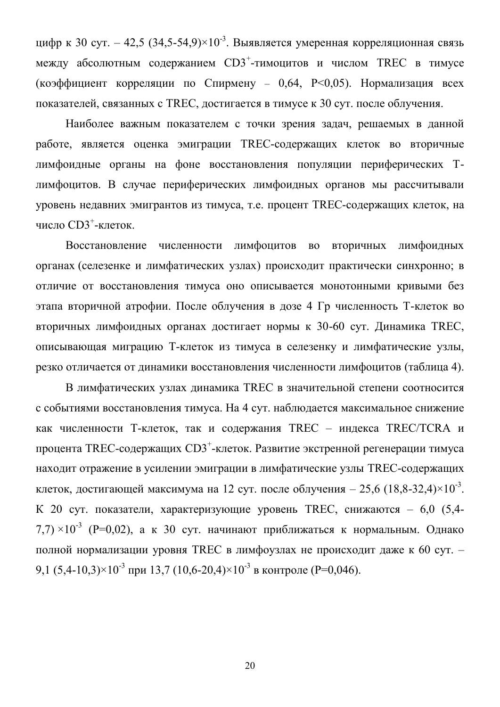цифр к 30 сут. – 42,5 (34,5-54,9) $\times 10^{-3}$ . Выявляется умеренная корреляционная связь между абсолютным содержанием  $CD3^+$ -тимоцитов и числом TREC в тимусе (коэффициент корреляции по Спирмену – 0,64, P<0,05). Нормализация всех показателей, связанных с TREC, достигается в тимусе к 30 сут. после облучения.

Наиболее важным показателем с точки зрения задач, решаемых в данной работе, является оценка эмиграции TREC-содержащих клеток во вторичные лимфоидные органы на фоне восстановления популяции периферических Тлимфоцитов. В случае периферических лимфоидных органов мы рассчитывали уровень недавних эмигрантов из тимуса, т.е. процент TREC-содержащих клеток, на число  $CD3^+$ -клеток.

Восстановление численности лимфоцитов во вторичных лимфоидных органах (селезенке и лимфатических узлах) происходит практически синхронно; в отличие от восстановления тимуса оно описывается монотонными кривыми без этапа вторичной атрофии. После облучения в дозе 4 Гр численность Т-клеток во вторичных лимфоидных органах достигает нормы к 30-60 сут. Динамика TREC, описывающая миграцию Т-клеток из тимуса в селезенку и лимфатические узлы, резко отличается от динамики восстановления численности лимфоцитов (таблица 4).

В лимфатических узлах динамика TREC в значительной степени соотносится с событиями восстановления тимуса. На 4 сут. наблюдается максимальное снижение как численности Т-клеток, так и содержания TREC - индекса TREC/TCRA и процента TREC-содержащих CD3<sup>+</sup>-клеток. Развитие экстренной регенерации тимуса находит отражение в усилении эмиграции в лимфатические узлы TREC-содержащих клеток, достигающей максимума на 12 сут. после облучения – 25,6 (18,8-32,4) $\times$ 10<sup>-3</sup>. К 20 сут. показатели, характеризующие уровень TREC, снижаются – 6,0 (5,4- $(7.7) \times 10^{-3}$  (P=0.02), а к 30 сут. начинают приближаться к нормальным. Однако полной нормализации уровня TREC в лимфоузлах не происходит даже к 60 сут. -9,1  $(5.4\n-10.3)\times10^{-3}$   $\mu$  mp $\mu$  13.7  $(10.6\n-20.4)\times10^{-3}$  B kohtpone (P=0.046).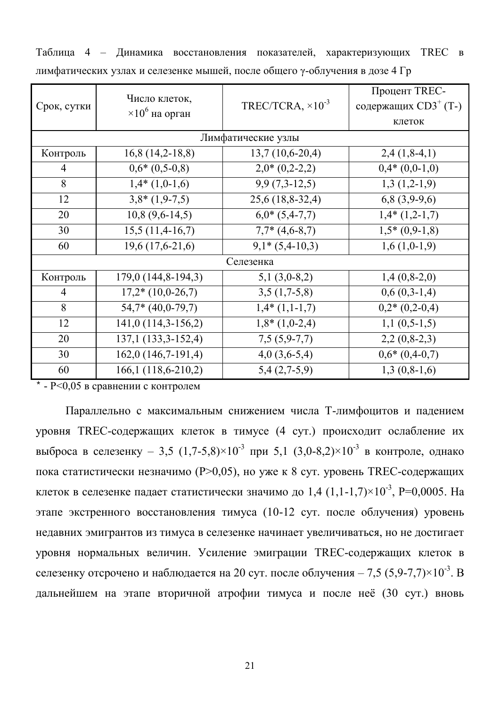| Срок, сутки | Число клеток,<br>$\times 10^6$ на орган | TREC/TCRA, $\times 10^{-3}$ | Процент TREC-<br>содержащих CD3 <sup>+</sup> (T-)<br>клеток |
|-------------|-----------------------------------------|-----------------------------|-------------------------------------------------------------|
|             |                                         | Лимфатические узлы          |                                                             |
| Контроль    | $16,8(14,2-18,8)$                       | $13,7(10,6-20,4)$           | $2,4(1,8-4,1)$                                              |
| 4           | $0.6*(0.5-0.8)$                         | $2,0^*(0,2-2,2)$            | $0,4*(0,0-1,0)$                                             |
| 8           | $1,4*(1,0-1,6)$                         | $9,9(7,3-12,5)$             | $1,3(1,2-1,9)$                                              |
| 12          | $3,8*(1,9-7,5)$                         | $25,6(18,8-32,4)$           | $6,8(3,9-9,6)$                                              |
| 20          | $10,8(9,6-14,5)$                        | $6,0*(5,4-7,7)$             | $1,4*(1,2-1,7)$                                             |
| 30          | $15,5(11,4-16,7)$                       | $7,7*(4,6-8,7)$             | $1,5*(0,9-1,8)$                                             |
| 60          | $19,6(17,6-21,6)$                       | $9,1*(5,4-10,3)$            | $1,6(1,0-1,9)$                                              |
|             |                                         | Селезенка                   |                                                             |
| Контроль    | 179,0 (144,8-194,3)                     | $5,1(3,0-8,2)$              | $1,4(0,8-2,0)$                                              |
| 4           | $17,2*(10,0-26,7)$                      | $3,5(1,7-5,8)$              | $0,6(0,3-1,4)$                                              |
| 8           | $54,7*$ (40,0-79,7)                     | $1,4*(1,1-1,7)$             | $0,2*(0,2-0,4)$                                             |
| 12          | 141,0 (114,3-156,2)                     | $1,8*(1,0-2,4)$             | $1,1(0,5-1,5)$                                              |
| 20          | 137,1 (133,3-152,4)                     | $7,5(5,9-7,7)$              | $2,2(0,8-2,3)$                                              |
| 30          | 162,0 (146,7-191,4)                     | $4,0(3,6-5,4)$              | $0.6*(0.4-0.7)$                                             |
| 60          | $166, 1(118, 6-210, 2)$                 | $5,4(2,7-5,9)$              | $1,3(0,8-1,6)$                                              |

Таблица 4 - Динамика восстановления показателей, характеризующих TREC в лимфатических узлах и селезенке мышей, после общего у-облучения в дозе 4 Гр

 $*$  - P<0,05 в сравнении с контролем

Параллельно с максимальным снижением числа Т-лимфоцитов и падением уровня TREC-содержащих клеток в тимусе (4 сут.) происходит ослабление их выброса в селезенку – 3,5  $(1,7-5,8) \times 10^{-3}$  при 5,1  $(3,0-8,2) \times 10^{-3}$  в контроле, однако пока статистически незначимо (P>0,05), но уже к 8 сут. уровень TREC-содержащих клеток в селезенке падает статистически значимо до 1,4  $(1,1$ -1,7 $)\times 10^{-3}$ , P=0,0005. На этапе экстренного восстановления тимуса (10-12 сут. после облучения) уровень недавних эмигрантов из тимуса в селезенке начинает увеличиваться, но не достигает уровня нормальных величин. Усиление эмиграции TREC-содержащих клеток в селезенку отсрочено и наблюдается на 20 сут. после облучения – 7,5 (5,9-7,7) $\times 10^{-3}$ . В дальнейшем на этапе вторичной атрофии тимуса и после неё (30 сут.) вновь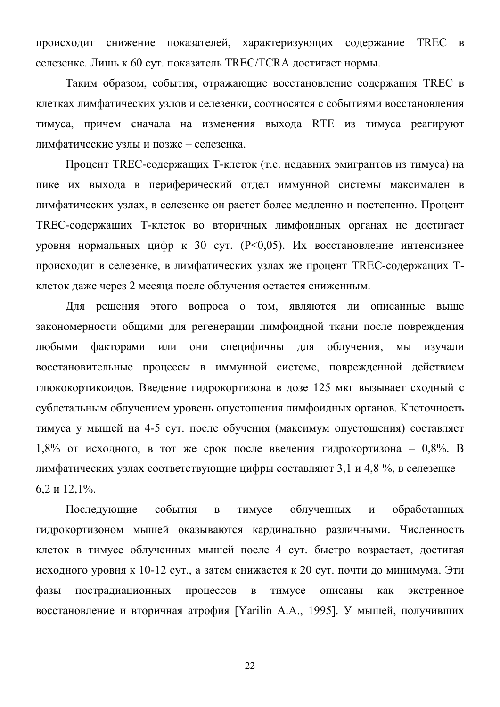происходит снижение показателей, характеризующих содержание TREC в селезенке. Лишь к 60 сут. показатель TREC/TCRA достигает нормы.

Таким образом, события, отражающие восстановление содержания TREC в клетках лимфатических узлов и селезенки, соотносятся с событиями восстановления тимуса, причем сначала на изменения выхода RTE из тимуса реагируют лимфатические узлы и позже - селезенка.

Процент TREC-содержащих Т-клеток (т.е. недавних эмигрантов из тимуса) на пике их выхода в периферический отдел иммунной системы максимален в лимфатических узлах, в селезенке он растет более медленно и постепенно. Процент TREC-содержащих Т-клеток во вторичных лимфоидных органах не достигает уровня нормальных цифр к 30 сут. (P<0,05). Их восстановление интенсивнее происходит в селезенке, в лимфатических узлах же процент TREC-содержащих Тклеток даже через 2 месяца после облучения остается сниженным.

Для решения этого вопроса о том, являются ли описанные выше закономерности общими для регенерации лимфоидной ткани после повреждения любыми факторами или они специфичны для облучения, мы изучали восстановительные процессы в иммунной системе, поврежденной действием глюкокортикоидов. Введение гидрокортизона в дозе 125 мкг вызывает сходный с сублетальным облучением уровень опустошения лимфоидных органов. Клеточность тимуса у мышей на 4-5 сут. после обучения (максимум опустошения) составляет 1,8% от исходного, в тот же срок после введения гидрокортизона – 0,8%. В лимфатических узлах соответствующие цифры составляют 3,1 и 4,8 %, в селезенке - $6,2 \text{ и } 12,1\%$ .

Последующие события в тимусе облученных и обработанных гидрокортизоном мышей оказываются кардинально различными. Численность клеток в тимусе облученных мышей после 4 сут. быстро возрастает, достигая исходного уровня к 10-12 сут., а затем снижается к 20 сут. почти до минимума. Эти фазы пострадиационных процессов в тимусе описаны как экстренное восстановление и вторичная атрофия [Yarilin A.A., 1995]. У мышей, получивших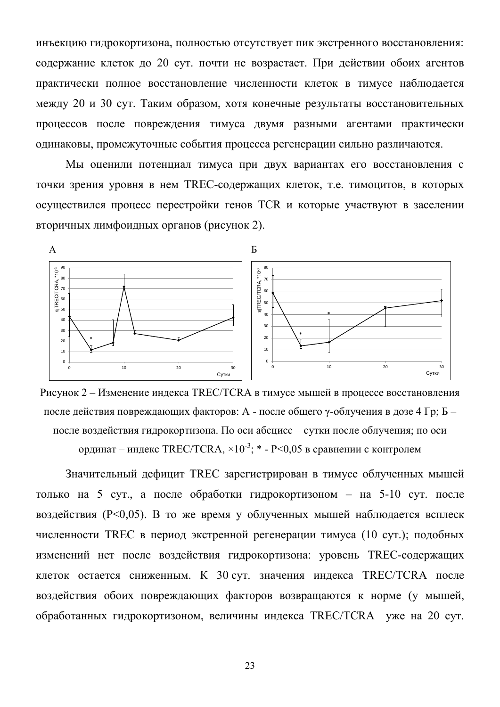инъекцию гидрокортизона, полностью отсутствует пик экстренного восстановления: содержание клеток до 20 сут. почти не возрастает. При действии обоих агентов практически полное восстановление численности клеток в тимусе наблюдается между 20 и 30 сут. Таким образом, хотя конечные результаты восстановительных процессов после повреждения тимуса двумя разными агентами практически одинаковы, промежуточные события процесса регенерации сильно различаются.

Мы оценили потенциал тимуса при двух вариантах его восстановления с точки зрения уровня в нем TREC-содержащих клеток, т.е. тимоцитов, в которых осуществился процесс перестройки генов TCR и которые участвуют в заселении вторичных лимфоидных органов (рисунок 2).



Рисунок 2 – Изменение индекса TREC/TCRA в тимусе мышей в процессе восстановления после действия повреждающих факторов: А - после общего  $\gamma$ -облучения в дозе 4 Гр; Б – после воздействия гидрокортизона. По оси абсцисс - сутки после облучения; по оси ординат – индекс TREC/TCRA,  $\times 10^{-3}$ ; \* - P<0,05 в сравнении с контролем

Значительный дефицит TREC зарегистрирован в тимусе облученных мышей только на 5 сут., а после обработки гидрокортизоном – на 5-10 сут. после воздействия ( $P<0.05$ ). В то же время у облученных мышей наблюдается всплеск численности TREC в период экстренной регенерации тимуса (10 сут.); подобных изменений нет после воздействия гидрокортизона: уровень ТREC-содержащих клеток остается сниженным. К 30 сут. значения индекса TREC/TCRA после воздействия обоих повреждающих факторов возвращаются к норме (у мышей, обработанных гидрокортизоном, величины индекса TREC/TCRA уже на 20 сут.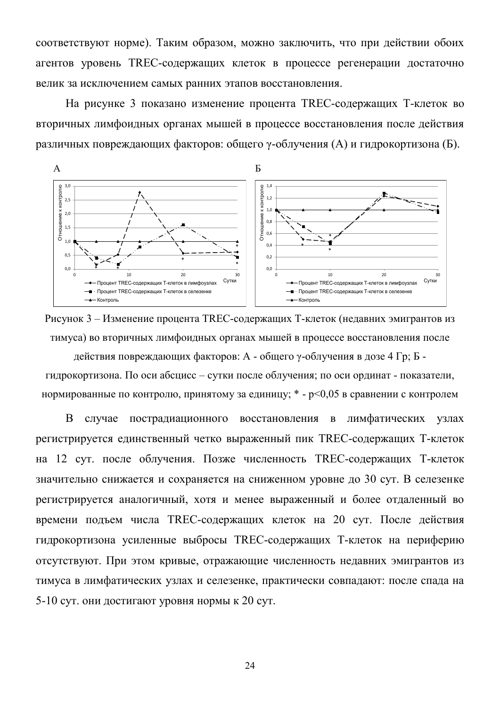соответствуют норме). Таким образом, можно заключить, что при действии обоих агентов уровень TREC-содержащих клеток в процессе регенерации достаточно велик за исключением самых ранних этапов восстановления.

На рисунке 3 показано изменение процента TREC-содержащих Т-клеток во вторичных лимфоидных органах мышей в процессе восстановления после действия различных повреждающих факторов: общего  $\gamma$ -облучения (A) и гидрокортизона (Б).



Рисунок 3 – Изменение процента TREC-содержащих Т-клеток (недавних эмигрантов из тимуса) во вторичных лимфоидных органах мышей в процессе восстановления после

действия повреждающих факторов: А - общего у-облучения в дозе 4 Гр; Б гидрокортизона. По оси абсцисс - сутки после облучения; по оси ординат - показатели, нормированные по контролю, принятому за единицу; \* -  $p<0.05$  в сравнении с контролем

В случае пострадиационного восстановления в лимфатических узлах регистрируется единственный четко выраженный пик TREC-содержащих Т-клеток на 12 сут. после облучения. Позже численность TREC-содержащих Т-клеток значительно снижается и сохраняется на сниженном уровне до 30 сут. В селезенке регистрируется аналогичный, хотя и менее выраженный и более отдаленный во времени подъем числа TREC-содержащих клеток на 20 сут. После действия гидрокортизона усиленные выбросы TREC-содержащих Т-клеток на периферию отсутствуют. При этом кривые, отражающие численность недавних эмигрантов из тимуса в лимфатических узлах и селезенке, практически совпадают: после спада на 5-10 сут. они достигают уровня нормы к 20 сут.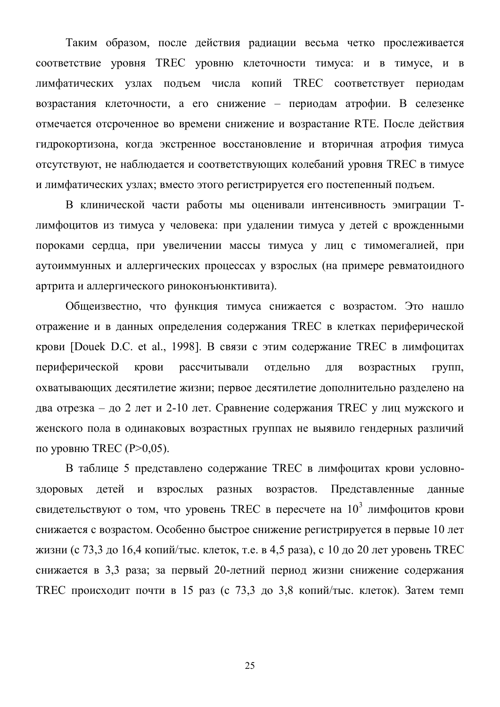Таким образом, после действия радиации весьма четко прослеживается соответствие уровня TREC уровню клеточности тимуса: и в тимусе, и в лимфатических узлах подъем числа копий TREC соответствует периодам возрастания клеточности, а его снижение - периодам атрофии. В селезенке отмечается отсроченное во времени снижение и возрастание RTE. После действия гидрокортизона, когда экстренное восстановление и вторичная атрофия тимуса отсутствуют, не наблюдается и соответствующих колебаний уровня TREC в тимусе и лимфатических узлах; вместо этого регистрируется его постепенный подъем.

В клинической части работы мы оценивали интенсивность эмиграции Тлимфоцитов из тимуса у человека: при удалении тимуса у детей с врожденными пороками сердца, при увеличении массы тимуса у лиц с тимомегалией, при аутоиммунных и аллергических процессах у взрослых (на примере ревматоидного артрита и аллергического риноконъюнктивита).

Общеизвестно, что функция тимуса снижается с возрастом. Это нашло отражение и в данных определения содержания TREC в клетках периферической крови [Douek D.C. et al., 1998]. В связи с этим содержание TREC в лимфоцитах периферической крови рассчитывали отдельно для возрастных групп, охватывающих десятилетие жизни; первое десятилетие дополнительно разделено на два отрезка – до 2 лет и 2-10 лет. Сравнение содержания TREC у лиц мужского и женского пола в одинаковых возрастных группах не выявило гендерных различий по уровню TREC ( $P>0,05$ ).

В таблице 5 представлено содержание TREC в лимфоцитах крови условноздоровых детей и взрослых разных возрастов. Представленные данные свидетельствуют о том, что уровень TREC в пересчете на  $10^3$  лимфоцитов крови снижается с возрастом. Особенно быстрое снижение регистрируется в первые 10 лет жизни (с 73,3 до 16,4 копий/тыс. клеток, т.е. в 4,5 раза), с 10 до 20 лет уровень ТREC снижается в 3,3 раза; за первый 20-летний период жизни снижение содержания TREC происходит почти в 15 раз (с 73,3 до 3,8 копий/тыс. клеток). Затем темп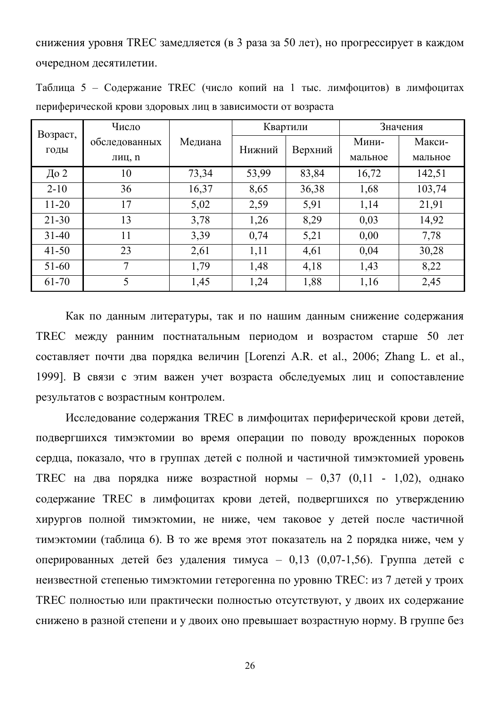снижения уровня TREC замедляется (в 3 раза за 50 лет), но прогрессирует в каждом очередном десятилетии.

|                                                             | Таблица 5 – Содержание TREC (число копий на 1 тыс. лимфоцитов) в лимфоцитах |  |  |          |  |          |  |
|-------------------------------------------------------------|-----------------------------------------------------------------------------|--|--|----------|--|----------|--|
| периферической крови здоровых лиц в зависимости от возраста |                                                                             |  |  |          |  |          |  |
|                                                             | Число                                                                       |  |  | Квартили |  | Значения |  |

| Возраст,  | Число         |         | Квартили |         | значения |         |
|-----------|---------------|---------|----------|---------|----------|---------|
| ГОДЫ      | обследованных | Медиана | Нижний   | Верхний | Мини-    | Макси-  |
|           | лиц, п        |         |          |         | мальное  | мальное |
| До 2      | 10            | 73,34   | 53,99    | 83,84   | 16,72    | 142,51  |
| $2 - 10$  | 36            | 16,37   | 8,65     | 36,38   | 1,68     | 103,74  |
| $11 - 20$ | 17            | 5,02    | 2,59     | 5,91    | 1,14     | 21,91   |
| $21 - 30$ | 13            | 3,78    | 1,26     | 8,29    | 0,03     | 14,92   |
| $31 - 40$ | 11            | 3,39    | 0,74     | 5,21    | 0,00     | 7,78    |
| $41 - 50$ | 23            | 2,61    | 1,11     | 4,61    | 0,04     | 30,28   |
| $51 - 60$ | 7             | 1,79    | 1,48     | 4,18    | 1,43     | 8,22    |
| 61-70     | 5             | 1,45    | 1,24     | 1,88    | 1,16     | 2,45    |

Как по данным литературы, так и по нашим данным снижение содержания ТREC между ранним постнатальным периодом и возрастом старше 50 лет составляет почти два порядка величин [Lorenzi A.R. et al., 2006; Zhang L. et al., 1999]. В связи с этим важен учет возраста обследуемых лиц и сопоставление результатов с возрастным контролем.

Исследование содержания TREC в лимфоцитах периферической крови детей, подвергшихся тимэктомии во время операции по поводу врожденных пороков сердца, показало, что в группах детей с полной и частичной тимэктомией уровень ТКЕС на два порядка ниже возрастной нормы – 0,37 (0,11 - 1,02), однако содержание TREC в лимфоцитах крови детей, подвергшихся по утверждению хирургов полной тимэктомии, не ниже, чем таковое у детей после частичной тимэктомии (таблица 6). В то же время этот показатель на 2 порядка ниже, чем у оперированных детей без удаления тимуса - 0,13 (0,07-1,56). Группа детей с неизвестной степенью тимэктомии гетерогенна по уровню TREC: из 7 детей у троих TREC полностью или практически полностью отсутствуют, у двоих их содержание снижено в разной степени и у двоих оно превышает возрастную норму. В группе без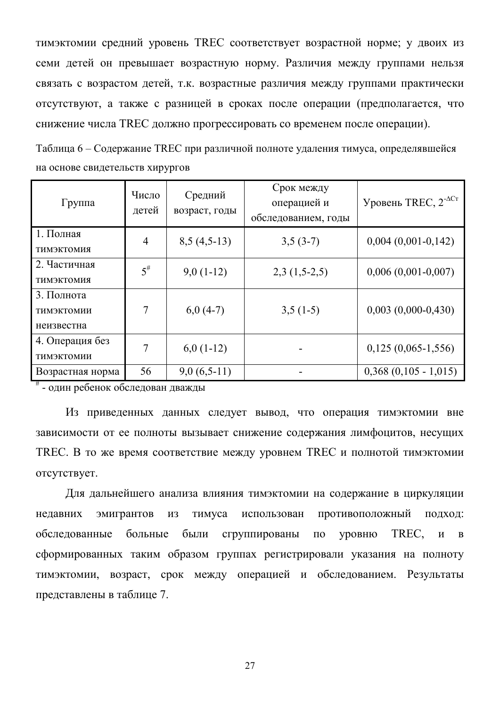тимэктомии средний уровень TREC соответствует возрастной норме; у двоих из семи детей он превышает возрастную норму. Различия между группами нельзя связать с возрастом детей, т.к. возрастные различия между группами практически отсутствуют, а также с разницей в сроках после операции (предполагается, что снижение числа TREC должно прогрессировать со временем после операции).

Таблица 6 – Содержание TREC при различной полноте удаления тимуса, определявшейся на основе свидетельств хирургов

| Группа                                 | Число<br>детей | Средний<br>возраст, годы | Срок между<br>операцией и<br>обследованием, годы | Уровень TREC, $2^{-\Delta Cr}$ |
|----------------------------------------|----------------|--------------------------|--------------------------------------------------|--------------------------------|
| 1. Полная<br><b>ТИМЭКТОМИЯ</b>         | 4              | $8,5(4,5-13)$            | $3,5(3-7)$                                       | $0,004$ $(0,001-0,142)$        |
| 2. Частичная<br><b>ТИМЭКТОМИЯ</b>      | $5^{\#}$       | $9,0(1-12)$              | $2,3(1,5-2,5)$                                   | $0,006$ $(0,001-0,007)$        |
| 3. Полнота<br>ТИМЭКТОМИИ<br>неизвестна | 7              | $6,0(4-7)$               | $3,5(1-5)$                                       | $0,003$ $(0,000-0,430)$        |
| 4. Операция без<br>ТИМЭКТОМИИ          | 7              | $6,0(1-12)$              |                                                  | $0,125(0,065-1,556)$           |
| Возрастная норма                       | 56             | $9,0(6,5-11)$            |                                                  | $0,368$ $(0,105 - 1,015)$      |

 $*$  - один ребенок обследован дважды

Из приведенных данных следует вывод, что операция тимэктомии вне зависимости от ее полноты вызывает снижение содержания лимфоцитов, несущих TREC. В то же время соответствие между уровнем TREC и полнотой тимэктомии OTCVTCTBVeT.

Для дальнейшего анализа влияния тимэктомии на содержание в циркуляции недавних эмигрантов из тимуса использован противоположный подход: обследованные больные были сгруппированы по уровню TREC, и в сформированных таким образом группах регистрировали указания на полноту тимэктомии, возраст, срок между операцией и обследованием. Результаты представлены в таблице 7.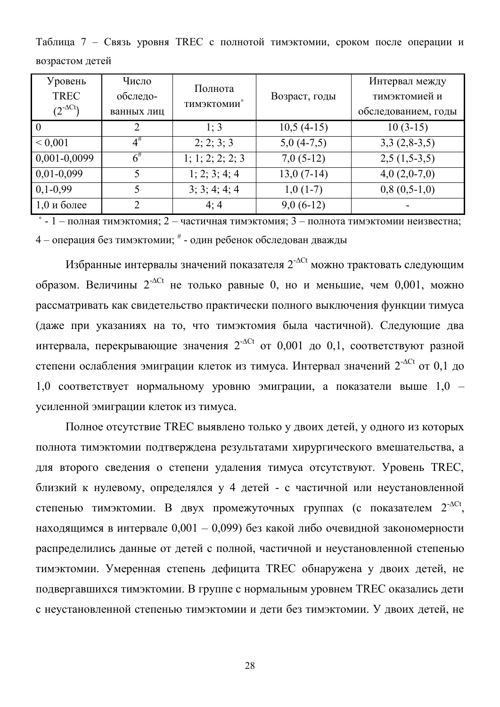Таблица 7 - Связь уровня TREC с полнотой тимэктомии, сроком после операции и возрастом летей

| Уровень<br><b>TREC</b><br>$(2^{-\Delta C t})$ | Число<br>обследо-<br>ванных лиц | Полнота<br><b>ТИМЭКТОМИИ</b> | Возраст, годы | Интервал между<br>тимэктомией и<br>обследованием, годы |
|-----------------------------------------------|---------------------------------|------------------------------|---------------|--------------------------------------------------------|
|                                               | 2                               | 1:3                          | $10,5(4-15)$  | $10(3-15)$                                             |
| ${}< 0.001$                                   | $4^{\#}$                        | 2; 2; 3; 3                   | $5,0(4-7,5)$  | $3,3(2,8-3,5)$                                         |
| 0,001-0,0099                                  | $6^{\#}$                        | 1; 1; 2; 2; 2; 3             | $7,0(5-12)$   | $2,5(1,5-3,5)$                                         |
| $0,01-0,099$                                  | 5                               | 1; 2; 3; 4; 4                | $13,0(7-14)$  | $4,0(2,0-7,0)$                                         |
| $0,1-0,99$                                    | 5                               | 3; 3; 4; 4; 4                | $1,0(1-7)$    | $0,8(0,5-1,0)$                                         |
| $1,0$ и более                                 | $\overline{2}$                  | 4:4                          | $9,0(6-12)$   |                                                        |

 $\degree$  - 1 – полная тимэктомия; 2 – частичная тимэктомия; 3 – полнота тимэктомии неизвестна; 4 – операция без тимэктомии;  $*$  - один ребенок обследован дважды

Избранные интервалы значений показателя  $2^{-\Delta Ct}$  можно трактовать следующим образом. Величины  $2^{-\Delta Ct}$  не только равные 0, но и меньшие, чем 0,001, можно рассматривать как свидетельство практически полного выключения функции тимуса (даже при указаниях на то, что тимэктомия была частичной). Следующие два интервала, перекрывающие значения  $2^{-\Delta Ct}$  от 0,001 до 0,1, соответствуют разной степени ослабления эмиграции клеток из тимуса. Интервал значений  $2^{-\Delta Ct}$  от 0,1 до  $1,0$  соответствует нормальному уровню эмиграции, а показатели выше  $1,0$  – усиленной эмиграции клеток из тимуса.

Полное отсутствие TREC выявлено только у двоих детей, у одного из которых полнота тимэктомии подтверждена результатами хирургического вмешательства, а для второго сведения о степени удаления тимуса отсутствуют. Уровень TREC, близкий к нулевому, определялся у 4 детей - с частичной или неустановленной степенью тимэктомии. В двух промежуточных группах (с показателем 2<sup>-ACt</sup>, находящимся в интервале  $0.001 - 0.099$ ) без какой либо очевидной закономерности распределились данные от детей с полной, частичной и неустановленной степенью тимэктомии. Умеренная степень дефицита TREC обнаружена у двоих детей, не подвергавшихся тимэктомии. В группе с нормальным уровнем TREC оказались дети с неустановленной степенью тимэктомии и дети без тимэктомии. У двоих детей, не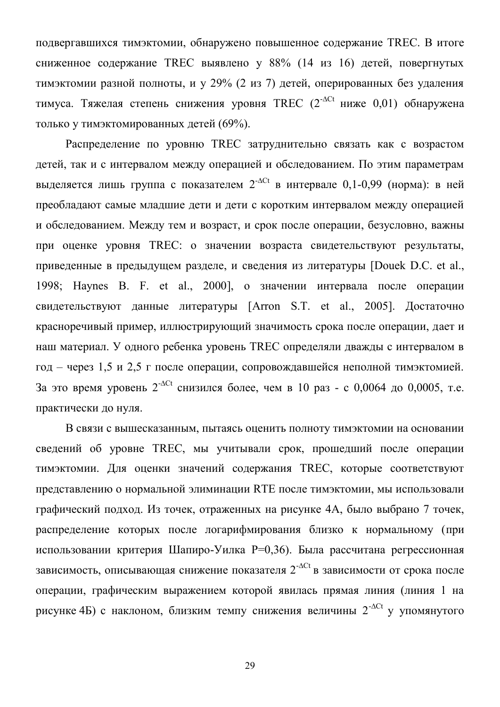подвергавшихся тимэктомии, обнаружено повышенное содержание TREC. В итоге сниженное содержание TREC выявлено у 88% (14 из 16) детей, повергнутых тимэктомии разной полноты, и у 29% (2 из 7) детей, оперированных без удаления тимуса. Тяжелая степень снижения уровня TREC  $(2^{-\Delta Ct}$  ниже 0,01) обнаружена только у тимэктомированных детей (69%).

Распределение по уровню TREC затруднительно связать как с возрастом детей, так и с интервалом между операцией и обследованием. По этим параметрам выделяется лишь группа с показателем  $2^{-\Delta Ct}$  в интервале 0,1-0,99 (норма): в ней преобладают самые младшие дети и дети с коротким интервалом между операцией и обследованием. Между тем и возраст, и срок после операции, безусловно, важны при оценке уровня TREC: о значении возраста свидетельствуют результаты, приведенные в предыдущем разделе, и сведения из литературы [Douek D.C. et al., 1998; Haynes B. F. et al., 2000], о значении интервала после операции свидетельствуют данные литературы [Arron S.T. et al., 2005]. Достаточно красноречивый пример, иллюстрирующий значимость срока после операции, дает и наш материал. У одного ребенка уровень TREC определяли дважды с интервалом в год - через 1,5 и 2,5 г после операции, сопровождавшейся неполной тимэктомией. За это время уровень  $2^{-\Delta Ct}$  снизился более, чем в 10 раз - с 0,0064 до 0,0005, т.е. практически до нуля.

В связи с вышесказанным, пытаясь оценить полноту тимэктомии на основании сведений об уровне TREC, мы учитывали срок, прошедший после операции тимэктомии. Для оценки значений содержания TREC, которые соответствуют представлению о нормальной элиминации RTE после тимэктомии, мы использовали графический подход. Из точек, отраженных на рисунке 4А, было выбрано 7 точек, распределение которых после логарифмирования близко к нормальному (при использовании критерия Шапиро-Уилка Р=0,36). Была рассчитана регрессионная зависимость, описывающая снижение показателя  $2^{-\Delta Ct}$  в зависимости от срока после операции, графическим выражением которой явилась прямая линия (линия 1 на рисунке 4Б) с наклоном, близким темпу снижения величины  $2^{-\Delta Ct}$  у упомянутого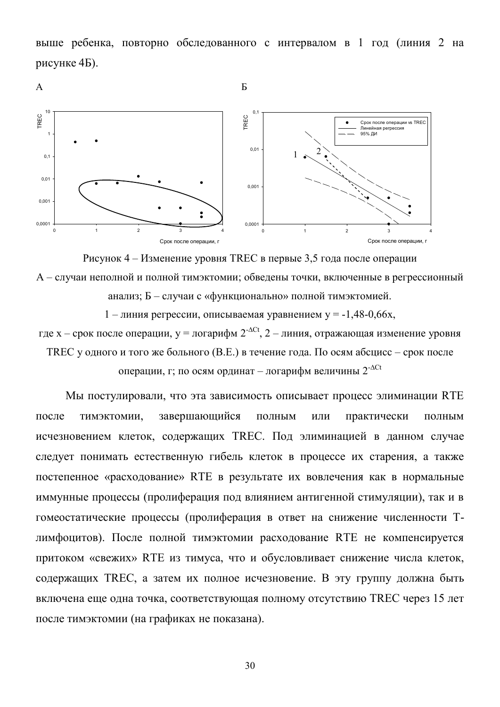выше ребенка, повторно обследованного с интервалом в 1 год (линия 2 на рисунке  $4<sub>B</sub>$ ).





1 – линия регрессии, описываемая уравнением у =  $-1,48-0,66x$ ,

где x – срок после операции, y = логарифм  $2^{-\Delta Ct}$ , 2 – линия, отражающая изменение уровня TREC у одного и того же больного (В.Е.) в течение года. По осям абсцисс – срок после операции, г; по осям ординат – логарифм величины  $2^{-\Delta Ct}$ 

Мы постулировали, что эта зависимость описывает процесс элиминации RTE после тимэктомии, завершающийся полным или практически полным исчезновением клеток, содержащих ТКЕС. Под элиминацией в данном случае следует понимать естественную гибель клеток в процессе их старения, а также постепенное «расходование» RTE в результате их вовлечения как в нормальные иммунные процессы (пролиферация под влиянием антигенной стимуляции), так и в гомеостатические процессы (пролиферация в ответ на снижение численности Тлимфоцитов). После полной тимэктомии расходование RTE не компенсируется притоком «свежих» RTE из тимуса, что и обусловливает снижение числа клеток, содержащих TREC, а затем их полное исчезновение. В эту группу должна быть включена еще одна точка, соответствующая полному отсутствию TREC через 15 лет после тимэктомии (на графиках не показана).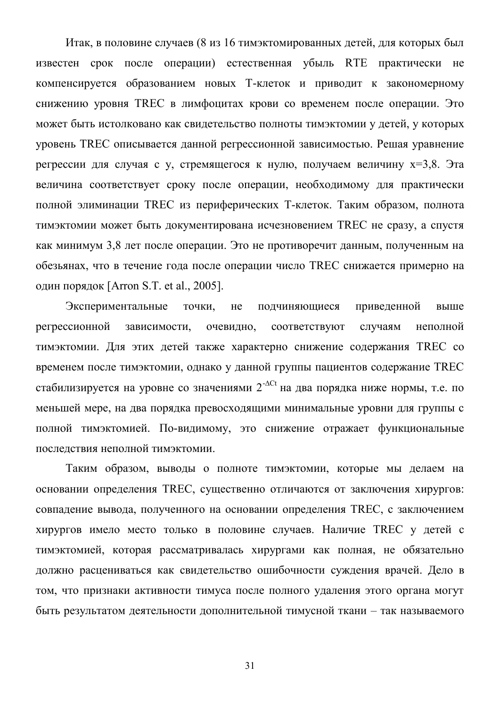Итак, в половине случаев (8 из 16 тимэктомированных детей, для которых был известен срок после операции) естественная убыль RTE практически не компенсируется образованием новых Т-клеток и приводит к закономерному снижению уровня TREC в лимфоцитах крови со временем после операции. Это может быть истолковано как свидетельство полноты тимэктомии у детей, у которых уровень TREC описывается данной регрессионной зависимостью. Решая уравнение регрессии для случая с у, стремящегося к нулю, получаем величину  $x=3,8$ . Эта величина соответствует сроку после операции, необходимому для практически полной элиминации TREC из периферических Т-клеток. Таким образом, полнота тимэктомии может быть документирована исчезновением TREC не сразу, а спустя как минимум 3,8 лет после операции. Это не противоречит данным, полученным на обезьянах, что в течение года после операции число TREC снижается примерно на один порядок [Arron S.T. et al., 2005].

Экспериментальные точки, не подчиняющиеся приведенной выше регрессионной зависимости, очевидно, соответствуют случаям неполной тимэктомии. Для этих детей также характерно снижение содержания TREC со временем после тимэктомии, однако у данной группы пациентов содержание TREC стабилизируется на уровне со значениями  $2^{-\Delta Ct}$  на два порядка ниже нормы, т.е. по меньшей мере, на два порядка превосходящими минимальные уровни для группы с полной тимэктомией. По-видимому, это снижение отражает функциональные последствия неполной тимэктомии.

Таким образом, выводы о полноте тимэктомии, которые мы делаем на основании определения TREC, существенно отличаются от заключения хирургов: совпадение вывода, полученного на основании определения TREC, с заключением хирургов имело место только в половине случаев. Наличие TREC у детей с тимэктомией, которая рассматривалась хирургами как полная, не обязательно должно расцениваться как свидетельство ошибочности суждения врачей. Дело в том, что признаки активности тимуса после полного удаления этого органа могут быть результатом деятельности дополнительной тимусной ткани - так называемого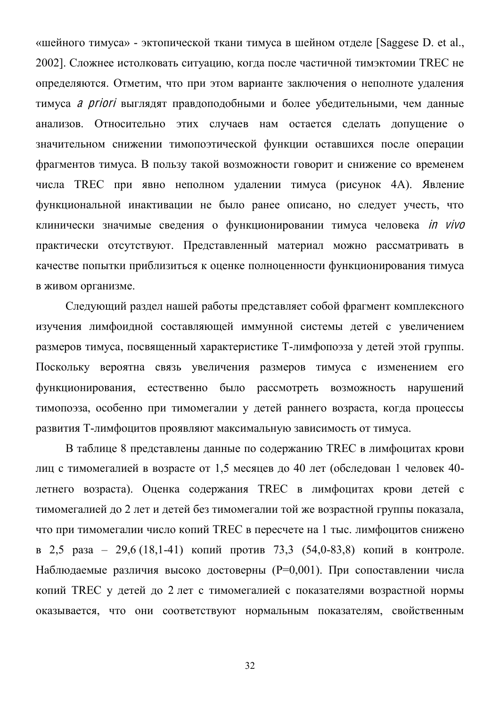«шейного тимуса» - эктопической ткани тимуса в шейном отделе [Saggese D. et al., 2002]. Сложнее истолковать ситуацию, когда после частичной тимэктомии TREC не определяются. Отметим, что при этом варианте заключения о неполноте удаления тимуса *а priori* выглядят правдоподобными и более убедительными, чем данные анализов. Относительно этих случаев нам остается сделать допущение о значительном снижении тимопоэтической функции оставшихся после операции фрагментов тимуса. В пользу такой возможности говорит и снижение со временем числа TREC при явно неполном удалении тимуса (рисунок 4А). Явление функциональной инактивации не было ранее описано, но следует учесть, что клинически значимые сведения о функционировании тимуса человека *in vivo* практически отсутствуют. Представленный материал можно рассматривать в качестве попытки приблизиться к оценке полноценности функционирования тимуса в живом организме.

Следующий раздел нашей работы представляет собой фрагмент комплексного изучения лимфоидной составляющей иммунной системы детей с увеличением размеров тимуса, посвященный характеристике Т-лимфопоэза у детей этой группы. Поскольку вероятна связь увеличения размеров тимуса с изменением его функционирования, естественно было рассмотреть возможность нарушений тимопоэза, особенно при тимомегалии у детей раннего возраста, когда процессы развития Т-лимфоцитов проявляют максимальную зависимость от тимуса.

В таблице 8 представлены данные по содержанию TREC в лимфоцитах крови лиц с тимомегалией в возрасте от 1,5 месяцев до 40 лет (обследован 1 человек 40летнего возраста). Оценка содержания TREC в лимфоцитах крови детей с тимомегалией до 2 лет и детей без тимомегалии той же возрастной группы показала, что при тимомегалии число копий TREC в пересчете на 1 тыс. лимфоцитов снижено в 2,5 раза - 29,6 (18,1-41) копий против 73,3 (54,0-83,8) копий в контроле. Наблюдаемые различия высоко достоверны (P=0,001). При сопоставлении числа копий TREC у детей до 2 лет с тимомегалией с показателями возрастной нормы оказывается, что они соответствуют нормальным показателям, свойственным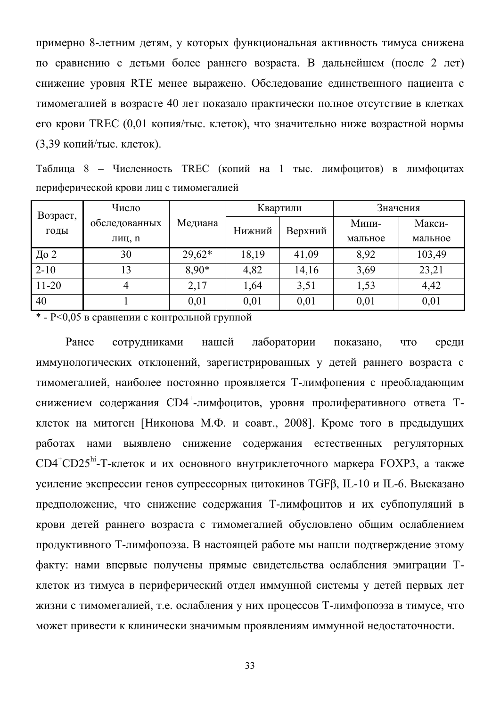примерно 8-летним детям, у которых функциональная активность тимуса снижена по сравнению с детьми более раннего возраста. В дальнейшем (после 2 лет) снижение уровня RTE менее выражено. Обследование единственного пациента с тимомегалией в возрасте 40 лет показало практически полное отсутствие в клетках его крови TREC (0,01 копия/тыс. клеток), что значительно ниже возрастной нормы  $(3.39 \text{$ <sup>k</sup> копий/тыс. клеток).

Таблица 8 - Численность TREC (копий на 1 тыс. лимфоцитов) в лимфоцитах периферической крови лиц с тимомегалией

|                  | Число         |          | Квартили |         | Значения |         |
|------------------|---------------|----------|----------|---------|----------|---------|
| Возраст,<br>годы | обследованных | Медиана  | Нижний   | Верхний | Мини-    | Макси-  |
|                  | лиц, п        |          |          |         | мальное  | мальное |
| До 2             | 30            | $29,62*$ | 18,19    | 41,09   | 8,92     | 103,49  |
| $2 - 10$         | 13            | 8,90*    | 4,82     | 14,16   | 3,69     | 23,21   |
| $11 - 20$        |               | 2,17     | 1,64     | 3,51    | 1,53     | 4,42    |
| 40               |               | 0,01     | 0,01     | 0,01    | 0,01     | 0,01    |

 $*$  -  $P$ <0,05 в сравнении с контрольной группой

Ранее сотрудниками нашей лаборатории показано, что среди иммунологических отклонений, зарегистрированных у детей раннего возраста с тимомегалией, наиболее постоянно проявляется Т-лимфопения с преобладающим снижением содержания CD4<sup>+</sup>-лимфоцитов, уровня пролиферативного ответа Тклеток на митоген [Никонова М.Ф. и соавт., 2008]. Кроме того в предыдущих работах нами выявлено снижение содержания естественных регуляторных  $CD4^+CD25^{\text{hi}}$ -Т-клеток и их основного внутриклеточного маркера FOXP3, а также усиление экспрессии генов супрессорных цитокинов ТGFβ, IL-10 и IL-6. Высказано предположение, что снижение содержания Т-лимфоцитов и их субпопуляций в крови детей раннего возраста с тимомегалией обусловлено общим ослаблением продуктивного Т-лимфопоэза. В настоящей работе мы нашли подтверждение этому факту: нами впервые получены прямые свидетельства ослабления эмиграции Тклеток из тимуса в периферический отдел иммунной системы у детей первых лет жизни с тимомегалией, т.е. ослабления у них процессов Т-лимфопоэза в тимусе, что может привести к клинически значимым проявлениям иммунной недостаточности.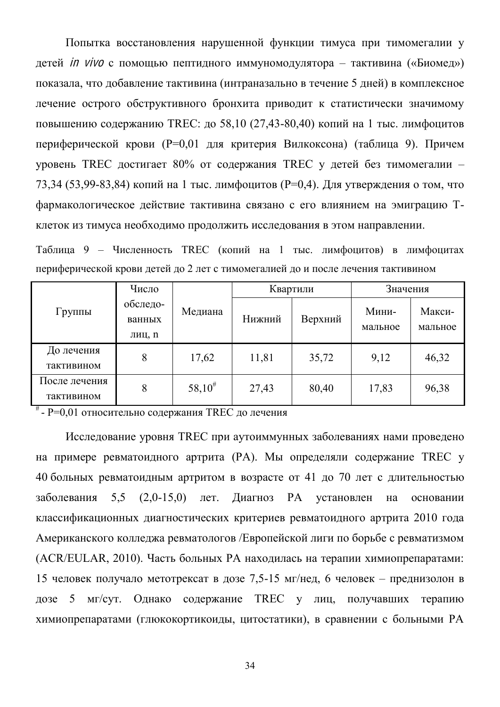Попытка восстановления нарушенной функции тимуса при тимомегалии у детей *in vivo* с помощью пептидного иммуномодулятора – тактивина («Биомед») показала, что добавление тактивина (интраназально в течение 5 дней) в комплексное лечение острого обструктивного бронхита приводит к статистически значимому повышению содержанию TREC: до 58,10 (27,43-80,40) копий на 1 тыс. лимфоцитов периферической крови (P=0.01 для критерия Вилкоксона) (таблица 9). Причем уровень TREC достигает 80% от содержания TREC у детей без тимомегалии -73,34 (53,99-83,84) копий на 1 тыс. лимфоцитов (P=0,4). Для утверждения о том, что фармакологическое действие тактивина связано с его влиянием на эмиграцию Тклеток из тимуса необходимо продолжить исследования в этом направлении.

Таблица 9 - Численность TREC (копий на 1 тыс. лимфоцитов) в лимфоцитах периферической крови детей до 2 лет с тимомегалией до и после лечения тактивином

|               | Число                        |             |        | Квартили | Значения         |                   |
|---------------|------------------------------|-------------|--------|----------|------------------|-------------------|
| Группы        | обследо-<br>ванных<br>лиц, п | Медиана     | Нижний | Верхний  | Мини-<br>мальное | Макси-<br>мальное |
| До лечения    | 8                            | 17,62       | 11,81  | 35,72    | 9,12             | 46,32             |
| тактивином    |                              |             |        |          |                  |                   |
| После лечения | 8                            | $58,10^{#}$ | 27,43  | 80,40    | 17,83            | 96,38             |
| тактивином    |                              |             |        |          |                  |                   |

# - P=0,01 относительно содержания TREC до лечения

Исследование уровня TREC при аутоиммунных заболеваниях нами проведено на примере ревматоидного артрита (PA). Мы определяли содержание TREC у 40 больных ревматоидным артритом в возрасте от 41 до 70 лет с длительностью заболевания 5,5 (2,0-15,0) лет. Диагноз РА установлен на основании классификационных диагностических критериев ревматоидного артрита 2010 года Американского колледжа ревматологов /Европейской лиги по борьбе с ревматизмом (ACR/EULAR, 2010). Часть больных РА находилась на терапии химиопрепаратами: 15 человек получало метотрексат в дозе 7,5-15 мг/нед, 6 человек – преднизолон в дозе 5 мг/сут. Однако содержание ТREC у лиц, получавших терапию химиопрепаратами (глюкокортикоиды, цитостатики), в сравнении с больными РА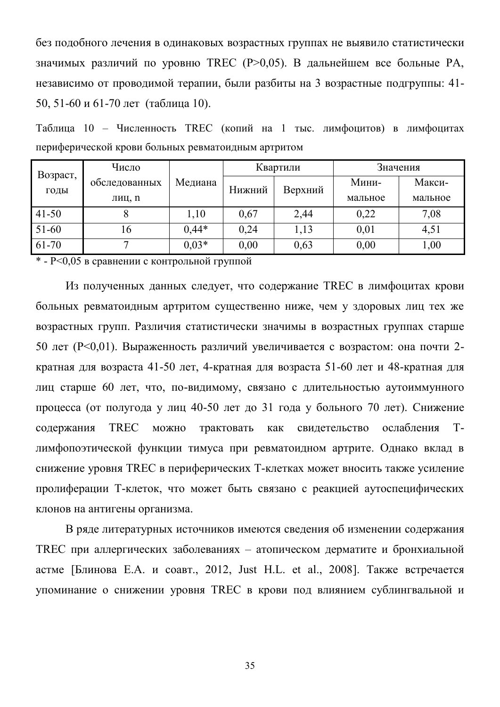без подобного лечения в одинаковых возрастных группах не выявило статистически значимых различий по уровню TREC (P>0,05). В дальнейшем все больные PA, независимо от проводимой терапии, были разбиты на 3 возрастные подгруппы: 41-50, 51-60 и 61-70 лет (таблица 10).

Таблица 10 – Численность TREC (копий на 1 тыс. лимфоцитов) в лимфоцитах периферической крови больных ревматоидным артритом

|           | Число         |         | Квартили |         | Значения |         |
|-----------|---------------|---------|----------|---------|----------|---------|
| Возраст,  | обследованных | Медиана | Нижний   | Верхний | Мини-    | Макси-  |
| годы      | лиц, п        |         |          |         | мальное  | мальное |
| $41 - 50$ |               | 1,10    | 0,67     | 2,44    | 0,22     | 7,08    |
| 51-60     | 16            | $0.44*$ | 0,24     | 1,13    | 0,01     | 4,51    |
| 61-70     | −             | $0.03*$ | 0,00     | 0,63    | 0,00     | 1,00    |

 $*$  - P $<0.05$  в сравнении с контрольной группой

Из полученных данных следует, что содержание TREC в лимфоцитах крови больных ревматоидным артритом существенно ниже, чем у здоровых лиц тех же возрастных групп. Различия статистически значимы в возрастных группах старше 50 лет ( $P < 0.01$ ). Выраженность различий увеличивается с возрастом: она почти 2кратная для возраста 41-50 лет, 4-кратная для возраста 51-60 лет и 48-кратная для лиц старше 60 лет, что, по-видимому, связано с длительностью аутоиммунного процесса (от полугода у лиц 40-50 лет до 31 года у больного 70 лет). Снижение содержания TREC можно трактовать как свидетельство ослабления Тлимфопоэтической функции тимуса при ревматоидном артрите. Однако вклад в снижение уровня TREC в периферических Т-клетках может вносить также усиление пролиферации Т-клеток, что может быть связано с реакцией аутоспецифических клонов на антигены организма.

В ряде литературных источников имеются сведения об изменении содержания ТREC при аллергических заболеваниях – атопическом дерматите и бронхиальной астме [Блинова Е.А. и соавт., 2012, Just H.L. et al., 2008]. Также встречается упоминание о снижении уровня TREC в крови под влиянием сублингвальной и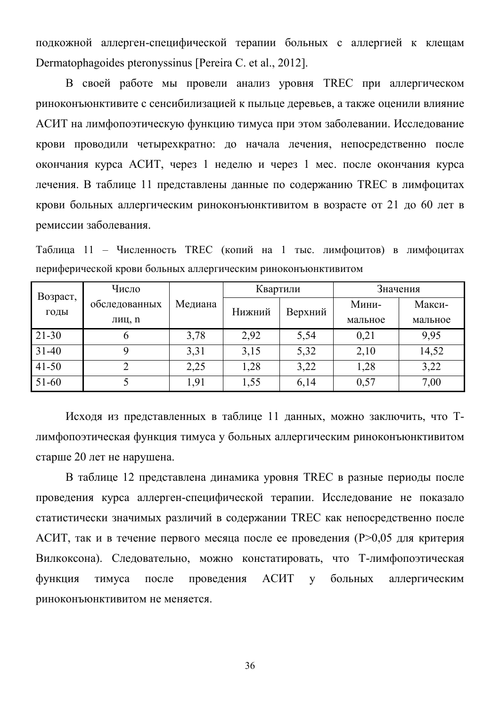подкожной аллерген-специфической терапии больных с аллергией к клещам Dermatophagoides pteronyssinus [Pereira C. et al., 2012].

В своей работе мы провели анализ уровня TREC при аллергическом риноконъюнктивите с сенсибилизацией к пыльце деревьев, а также оценили влияние АСИТ на лимфопоэтическую функцию тимуса при этом заболевании. Исследование крови проводили четырехкратно: до начала лечения, непосредственно после окончания курса АСИТ, через 1 неделю и через 1 мес. после окончания курса дечения. В таблице 11 представлены данные по содержанию TREC в лимфоцитах крови больных аллергическим риноконъюнктивитом в возрасте от 21 до 60 лет в ремиссии заболевания.

Таблица 11 - Численность TREC (копий на 1 тыс. лимфоцитов) в лимфоцитах периферической крови больных аллергическим риноконъюнктивитом

| Возраст,  | Число         |         | Квартили |         | Значения |         |
|-----------|---------------|---------|----------|---------|----------|---------|
| ГОДЫ      | обследованных | Медиана | Нижний   | Верхний | Мини-    | Макси-  |
|           | лиц, п        |         |          |         | мальное  | мальное |
| $21 - 30$ | O             | 3,78    | 2,92     | 5,54    | 0,21     | 9,95    |
| $31 - 40$ |               | 3,31    | 3,15     | 5,32    | 2,10     | 14,52   |
| $41 - 50$ |               | 2,25    | 1,28     | 3,22    | 1,28     | 3,22    |
| $51 - 60$ |               | 1,91    | 1,55     | 6,14    | 0,57     | 7,00    |

Исходя из представленных в таблице 11 данных, можно заключить, что Тлимфопоэтическая функция тимуса у больных аллергическим риноконъюнктивитом старше 20 лет не нарушена.

В таблице 12 представлена динамика уровня TREC в разные периоды после проведения курса аллерген-специфической терапии. Исследование не показало статистически значимых различий в содержании TREC как непосредственно после АСИТ, так и в течение первого месяца после ее проведения (P>0,05 для критерия Вилкоксона). Следовательно, можно констатировать, что Т-лимфопоэтическая функция тимуса после проведения АСИТ у больных аллергическим риноконъюнктивитом не меняется.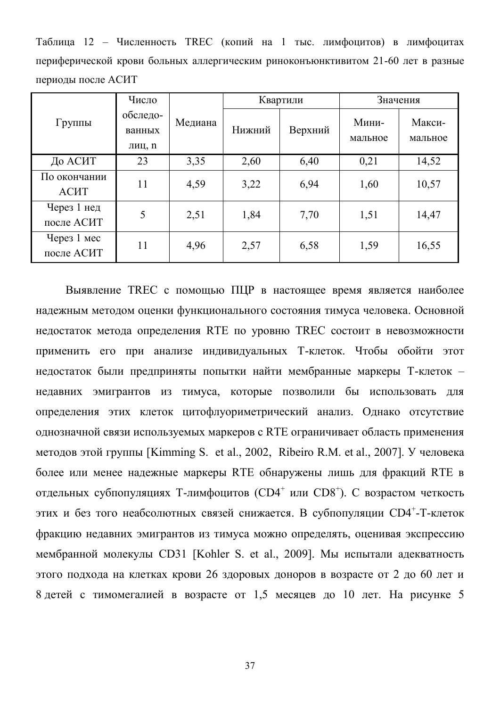Таблица 12 - Численность TREC (копий на 1 тыс. лимфоцитов) в лимфоцитах периферической крови больных аллергическим риноконъюнктивитом 21-60 лет в разные периоды после АСИТ

|                             | Число                        |         | Квартили |         | Значения         |                   |
|-----------------------------|------------------------------|---------|----------|---------|------------------|-------------------|
| Группы                      | обследо-<br>ванных<br>лиц, п | Медиана | Нижний   | Верхний | Мини-<br>мальное | Макси-<br>мальное |
| До АСИТ                     | 23                           | 3,35    | 2,60     | 6,40    | 0,21             | 14,52             |
| По окончании<br><b>ACHT</b> | 11                           | 4,59    | 3,22     | 6,94    | 1,60             | 10,57             |
| Через 1 нед<br>после АСИТ   | 5                            | 2,51    | 1,84     | 7,70    | 1,51             | 14,47             |
| Через 1 мес<br>после АСИТ   | 11                           | 4,96    | 2,57     | 6,58    | 1,59             | 16,55             |

Выявление TREC с помощью ПЦР в настоящее время является наиболее надежным методом оценки функционального состояния тимуса человека. Основной недостаток метода определения RTE по уровню TREC состоит в невозможности применить его при анализе индивидуальных Т-клеток. Чтобы обойти этот недостаток были предприняты попытки найти мембранные маркеры Т-клеток недавних эмигрантов из тимуса, которые позволили бы использовать для определения этих клеток цитофлуориметрический анализ. Однако отсутствие однозначной связи используемых маркеров с RTE ограничивает область применения методов этой группы [Kimming S. et al., 2002, Ribeiro R.M. et al., 2007]. У человека более или менее надежные маркеры RTE обнаружены лишь для фракций RTE в отдельных субпопуляциях Т-лимфоцитов (CD4<sup>+</sup> или CD8<sup>+</sup>). С возрастом четкость этих и без того неабсолютных связей снижается. В субпопуляции CD4<sup>+</sup>-Т-клеток фракцию недавних эмигрантов из тимуса можно определять, оценивая экспрессию мембранной молекулы CD31 [Kohler S. et al., 2009]. Мы испытали адекватность этого подхода на клетках крови 26 здоровых доноров в возрасте от 2 до 60 лет и 8 детей с тимомегалией в возрасте от 1,5 месяцев до 10 лет. На рисунке 5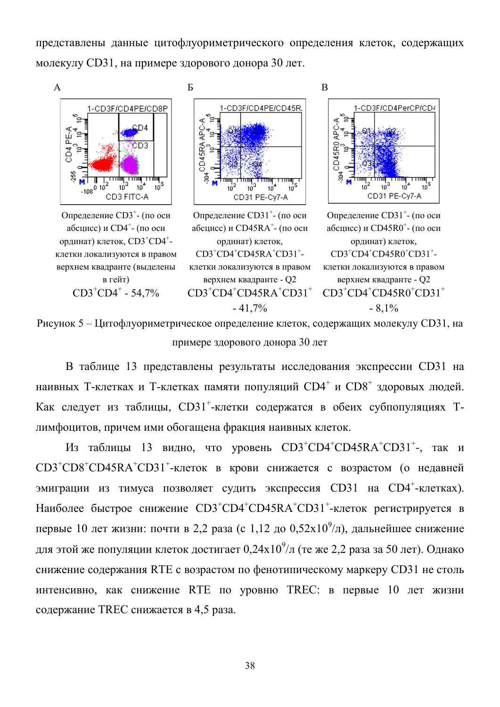представлены данные цитофлуориметрического определения клеток, содержащих молекулу CD31, на примере здорового донора 30 лет.



Рисунок 5 – Цитофлуориметрическое определение клеток, содержащих молекулу CD31, на примере здорового донора 30 лет

В таблице 13 представлены результаты исследования экспрессии СD31 на наивных Т-клетках и Т-клетках памяти популяций CD4<sup>+</sup> и CD8<sup>+</sup> здоровых людей. Как следует из таблицы, CD31<sup>+</sup>-клетки содержатся в обеих субпопуляциях Тлимфоцитов, причем ими обогащена фракция наивных клеток.

Из таблицы 13 видно, что уровень  $CD3^+CD4^+CD45RA^+CD31^+$ -, так и CD3<sup>+</sup>CD8<sup>+</sup>CD45RA<sup>+</sup>CD31<sup>+</sup>-клеток в крови снижается с возрастом (о недавней эмиграции из тимуса позволяет судить экспрессия CD31 на CD4<sup>+</sup>-клетках). Наиболее быстрое снижение CD3<sup>+</sup>CD4<sup>+</sup>CD45RA<sup>+</sup>CD31<sup>+</sup>-клеток регистрируется в первые 10 лет жизни: почти в 2,2 раза (с 1,12 до 0,52х10<sup>9</sup>/л), дальнейшее снижение для этой же популяции клеток достигает  $0,\!24\mathrm{x}10^9\!/\!\mathrm{n}$  (те же 2,2 раза за 50 лет). Однако снижение содержания RTE с возрастом по фенотипическому маркеру CD31 не столь интенсивно, как снижение RTE по уровню TREC: в первые 10 лет жизни содержание TREC снижается в 4,5 раза.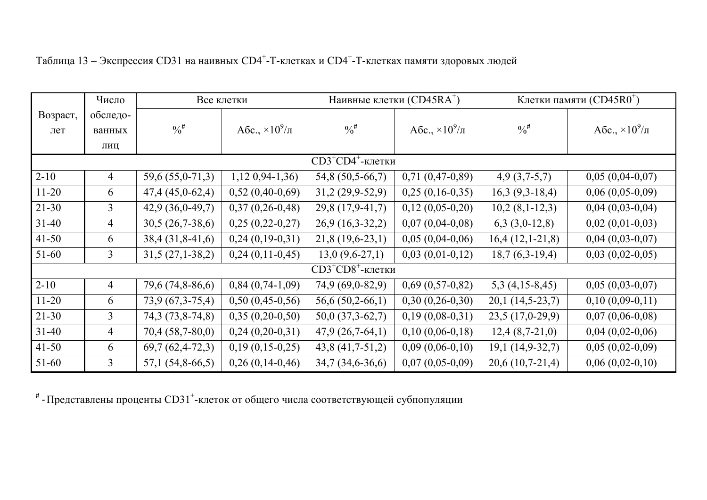|                                | Число          | Все клетки        |                         | Наивные клетки (CD45RA <sup>+</sup> ) |                           | Клетки памяти (CD45R0 <sup>+</sup> ) |                         |
|--------------------------------|----------------|-------------------|-------------------------|---------------------------------------|---------------------------|--------------------------------------|-------------------------|
| Возраст,                       | обследо-       |                   |                         |                                       |                           |                                      |                         |
| лет                            | ванных         | $\frac{0}{6}$     | A6c., $\times 10^9/\pi$ | $\frac{0}{6}$                         | Абс., $\times 10^9 / \pi$ | $\frac{0}{6}$                        | Abc., $\times 10^9/\pi$ |
|                                | ЛИЦ            |                   |                         |                                       |                           |                                      |                         |
| $CD3+CD4+$ -клетки             |                |                   |                         |                                       |                           |                                      |                         |
| $2 - 10$                       | $\overline{4}$ | 59,6 (55,0-71,3)  | $1,120,94-1,36$         | 54,8 (50,5-66,7)                      | $0,71(0,47-0,89)$         | $4,9(3,7-5,7)$                       | $0,05(0,04-0,07)$       |
| $11-20$                        | 6              | $47,4(45,0-62,4)$ | $0,52(0,40-0,69)$       | $31,2(29,9-52,9)$                     | $0,25(0,16-0,35)$         | $16,3(9,3-18,4)$                     | $0,06(0,05-0,09)$       |
| $21 - 30$                      | $\overline{3}$ | $42,9(36,0-49,7)$ | $0,37(0,26-0,48)$       | 29,8 (17,9-41,7)                      | $0,12(0,05-0,20)$         | $10,2(8,1-12,3)$                     | $0,04(0,03-0,04)$       |
| $31 - 40$                      | $\overline{4}$ | $30,5(26,7-38,6)$ | $0,25(0,22-0,27)$       | $26,9(16,3-32,2)$                     | $0,07(0,04-0,08)$         | $6,3(3,0-12,8)$                      | $0,02$ $(0,01-0,03)$    |
| $41 - 50$                      | 6              | $38,4(31,8-41,6)$ | $0,24(0,19-0,31)$       | $21,8(19,6-23,1)$                     | $0,05(0,04-0,06)$         | $16,4(12,1-21,8)$                    | $0,04(0,03-0,07)$       |
| $51 - 60$                      | 3              | $31,5(27,1-38,2)$ | $0,24(0,11-0,45)$       | $13,0(9,6-27,1)$                      | $0,03(0,01-0,12)$         | $18,7(6,3-19,4)$                     | $0,03(0,02-0,05)$       |
| $CD3+C18$ <sup>+</sup> -клетки |                |                   |                         |                                       |                           |                                      |                         |
| $2 - 10$                       | $\overline{4}$ | 79,6 (74,8-86,6)  | $0,84(0,74-1,09)$       | 74,9 (69,0-82,9)                      | $0,69(0,57-0,82)$         | $5,3(4,15-8,45)$                     | $0,05(0,03-0,07)$       |
| $11-20$                        | 6              | $73,9(67,3-75,4)$ | $0,50(0,45-0,56)$       | $56,6(50,2-66,1)$                     | $0,30(0,26-0,30)$         | $20,1(14,5-23,7)$                    | $0,10(0,09-0,11)$       |
| $21-30$                        | 3              | 74,3 (73,8-74,8)  | $0,35(0,20-0,50)$       | $50,0(37,3-62,7)$                     | $0,19(0,08-0,31)$         | $23,5(17,0-29,9)$                    | $0,07(0,06-0,08)$       |
| $31 - 40$                      | $\overline{4}$ | $70,4(58,7-80,0)$ | $0,24(0,20-0,31)$       | $47,9(26,7-64,1)$                     | $0,10(0,06-0,18)$         | $12,4(8,7-21,0)$                     | $0,04(0,02-0,06)$       |
| $41 - 50$                      | 6              | $69,7(62,4-72,3)$ | $0,19(0,15-0,25)$       | $43,8(41,7-51,2)$                     | $0,09(0,06-0,10)$         | $19,1(14,9-32,7)$                    | $0,05(0,02-0,09)$       |
| $51 - 60$                      | $\overline{3}$ | $57,1(54,8-66,5)$ | $0,26(0,14-0,46)$       | $34,7(34,6-36,6)$                     | $0,07(0,05-0,09)$         | $20,6(10,7-21,4)$                    | $0,06(0,02-0,10)$       |

|  |  | Таблица 13 – Экспрессия CD31 на наивных CD4 <sup>+</sup> -Т-клетках и CD4 <sup>+</sup> -Т-клетках памяти здоровых людей |  |
|--|--|-------------------------------------------------------------------------------------------------------------------------|--|
|  |  |                                                                                                                         |  |

 $^*$  - Представлены проценты CD31<sup>+</sup>-клеток от общего числа соответствующей субпопуляции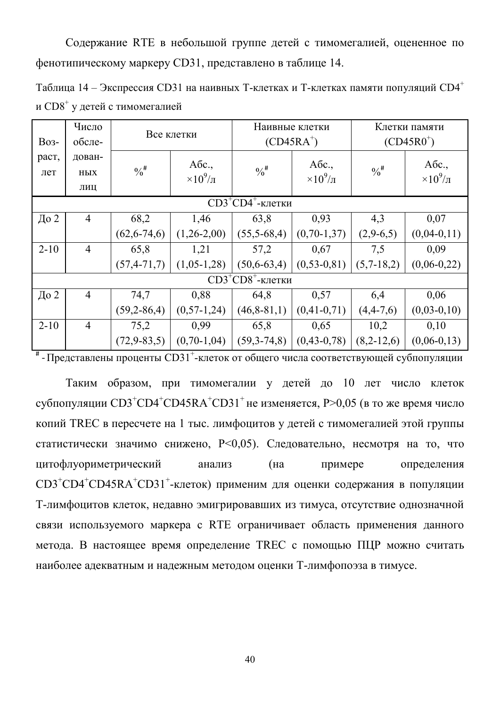Содержание RTE в небольшой группе детей с тимомегалией, оцененное по фенотипическому маркеру CD31, представлено в таблице 14.

Таблица 14 – Экспрессия СD31 на наивных Т-клетках и Т-клетках памяти популяций СD4<sup>+</sup> и  $CD8^+$  у детей с тимомегалией

| <b>Bo<sub>3</sub></b> - | Число<br>обсле- | Все клетки        |                   | Наивные клетки<br>$(CD45RA^+)$ |                   | Клетки памяти<br>$(CD45R0+)$ |                   |
|-------------------------|-----------------|-------------------|-------------------|--------------------------------|-------------------|------------------------------|-------------------|
|                         |                 |                   |                   |                                |                   |                              |                   |
| раст,                   | дован-          |                   | Aбс.,             |                                | Aбс.,             |                              | Aбс.,             |
| лет                     | HЫX             | $\frac{0}{6}$     | $\times 10^9/\pi$ | $\frac{0}{6}$                  | $\times 10^9/\pi$ | $\frac{0}{6}$                | $\times 10^9/\pi$ |
|                         | ЛИЦ             |                   |                   |                                |                   |                              |                   |
| $CD3+CDA^+$ -клетки     |                 |                   |                   |                                |                   |                              |                   |
| До 2                    | $\overline{4}$  | 68,2              | 1,46              | 63,8                           | 0,93              | 4,3                          | 0,07              |
|                         |                 | $(62, 6 - 74, 6)$ | $(1,26-2,00)$     | $(55,5-68,4)$                  | $(0, 70-1, 37)$   | $(2,9-6,5)$                  | $(0,04-0,11)$     |
| $2 - 10$                | $\overline{4}$  | 65,8              | 1,21              | 57,2                           | 0,67              | 7,5                          | 0,09              |
|                         |                 | $(57, 4 - 71, 7)$ | $(1,05-1,28)$     | $(50,6-63,4)$                  | $(0, 53-0, 81)$   | $(5,7-18,2)$                 | $(0,06-0,22)$     |
| $CD3+C108$ +клетки      |                 |                   |                   |                                |                   |                              |                   |
| До 2                    | $\overline{4}$  | 74,7              | 0,88              | 64,8                           | 0,57              | 6,4                          | 0,06              |
|                         |                 | $(59,2-86,4)$     | $(0, 57-1, 24)$   | $(46, 8-81, 1)$                | $(0,41-0,71)$     | $(4,4-7,6)$                  | $(0, 03-0, 10)$   |
| $2 - 10$                | $\overline{4}$  | 75,2              | 0,99              | 65,8                           | 0.65              | 10,2                         | 0,10              |
|                         |                 | $(72,9-83,5)$     | $(0, 70-1, 04)$   | $(59,3-74,8)$                  | $(0, 43 - 0, 78)$ | $(8,2-12,6)$                 | $(0,06-0,13)$     |

 $^*$  - Представлены проценты CD31<sup>+</sup>-клеток от общего числа соответствующей субпопуляции

Таким образом, при тимомегалии у детей до 10 лет число клеток субпопуляции  $CD3^+CD4^+CD45RA^+CD31^+$ не изменяется, P>0,05 (в то же время число копий TREC в пересчете на 1 тыс. лимфоцитов у детей с тимомегалией этой группы статистически значимо снижено, P<0,05). Следовательно, несмотря на то, что цитофлуориметрический анализ (на примере определения CD3<sup>+</sup>CD4<sup>+</sup>CD45RA<sup>+</sup>CD31<sup>+</sup>-клеток) применим для оценки содержания в популяции Т-лимфоцитов клеток, недавно эмигрировавших из тимуса, отсутствие однозначной связи используемого маркера с RTE ограничивает область применения данного метода. В настоящее время определение TREC с помощью ПЦР можно считать наиболее адекватным и надежным методом оценки Т-лимфопоэза в тимусе.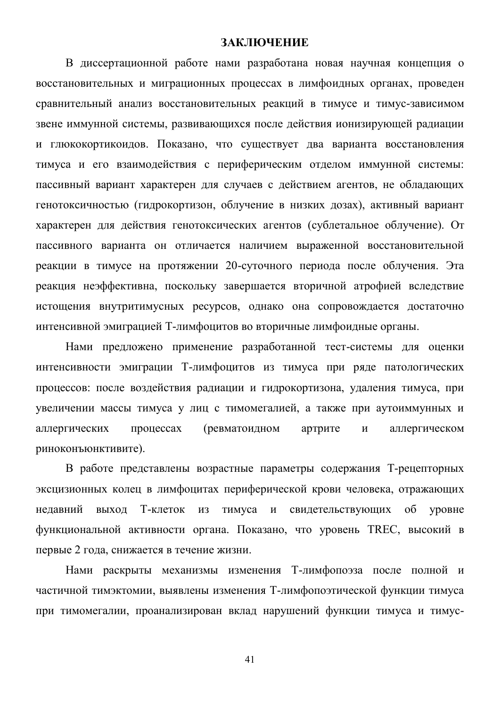## ЗАКЛЮЧЕНИЕ

В диссертационной работе нами разработана новая научная концепция о восстановительных и миграционных процессах в лимфоидных органах, проведен сравнительный анализ восстановительных реакций в тимусе и тимус-зависимом звене иммунной системы, развивающихся после действия ионизирующей радиации и глюкокортикоидов. Показано, что существует два варианта восстановления тимуса и его взаимодействия с периферическим отделом иммунной системы: пассивный вариант характерен для случаев с действием агентов, не обладающих генотоксичностью (гидрокортизон, облучение в низких дозах), активный вариант характерен для действия генотоксических агентов (сублетальное облучение). От пассивного варианта он отличается наличием выраженной восстановительной реакции в тимусе на протяжении 20-суточного периода после облучения. Эта реакция неэффективна, поскольку завершается вторичной атрофией вследствие истощения внутритимусных ресурсов, однако она сопровождается достаточно интенсивной эмиграцией Т-лимфоцитов во вторичные лимфоидные органы.

Нами предложено применение разработанной тест-системы для оценки интенсивности эмиграции Т-лимфоцитов из тимуса при ряде патологических процессов: после воздействия радиации и гидрокортизона, удаления тимуса, при увеличении массы тимуса у лиц с тимомегалией, а также при аутоиммунных и аллергических процессах (ревматоидном артрите и аллергическом риноконъюнктивите).

В работе представлены возрастные параметры содержания Т-рецепторных эксцизионных колец в лимфоцитах периферической крови человека, отражающих недавний выход Т-клеток из тимуса и свидетельствующих об уровне функциональной активности органа. Показано, что уровень TREC, высокий в первые 2 года, снижается в течение жизни.

Нами раскрыты механизмы изменения Т-лимфопоэза после полной и частичной тимэктомии, выявлены изменения Т-лимфопоэтической функции тимуса при тимомегалии, проанализирован вклад нарушений функции тимуса и тимус-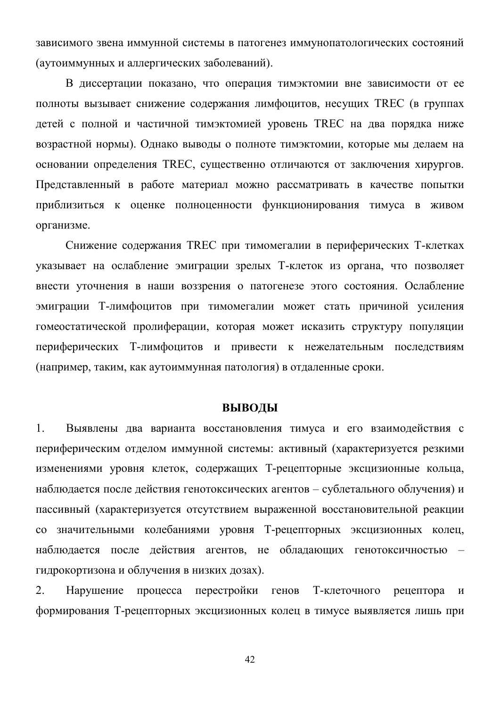зависимого звена иммунной системы в патогенез иммунопатологических состояний (аутоиммунных и аллергических заболеваний).

В диссертации показано, что операция тимэктомии вне зависимости от ее полноты вызывает снижение содержания лимфоцитов, несущих ТREC (в группах детей с полной и частичной тимэктомией уровень TREC на два порядка ниже возрастной нормы). Однако выводы о полноте тимэктомии, которые мы делаем на основании определения TREC, существенно отличаются от заключения хирургов. Представленный в работе материал можно рассматривать в качестве попытки приблизиться к оценке полноценности функционирования тимуса в живом организме.

Снижение содержания TREC при тимомегалии в периферических Т-клетках указывает на ослабление эмиграции зрелых Т-клеток из органа, что позволяет внести уточнения в наши воззрения о патогенезе этого состояния. Ослабление эмиграции Т-лимфоцитов при тимомегалии может стать причиной усиления гомеостатической пролиферации, которая может исказить структуру популяции периферических Т-лимфоцитов и привести к нежелательным последствиям (например, таким, как аутоиммунная патология) в отдаленные сроки.

#### **ВЫВОДЫ**

1. Выявлены два варианта восстановления тимуса и его взаимодействия с периферическим отделом иммунной системы: активный (характеризуется резкими изменениями уровня клеток, содержащих Т-рецепторные эксцизионные кольца, наблюдается после действия генотоксических агентов - сублетального облучения) и пассивный (характеризуется отсутствием выраженной восстановительной реакции со значительными колебаниями уровня Т-рецепторных эксцизионных колец, наблюдается после действия агентов, не обладающих генотоксичностью гидрокортизона и облучения в низких дозах).

2. Нарушение процесса перестройки генов Т-клеточного рецептора и формирования Т-рецепторных эксцизионных колец в тимусе выявляется лишь при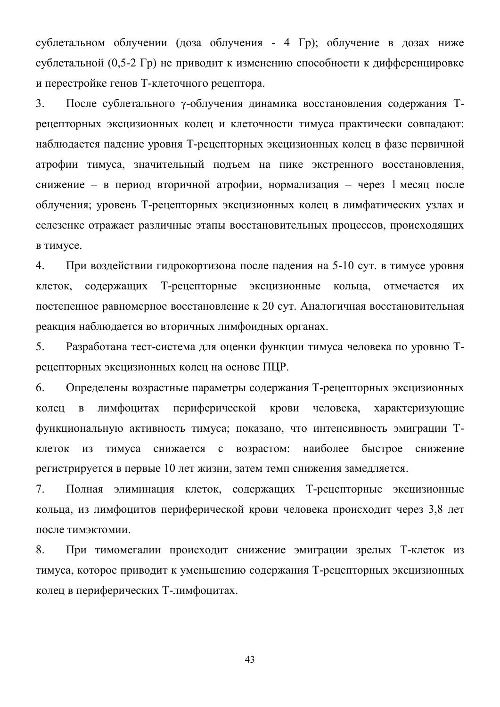сублетальном облучении (доза облучения - 4 Гр); облучение в дозах ниже сублетальной (0.5-2 Гр) не приводит к изменению способности к дифференцировке и перестройке генов Т-клеточного рецептора.

3. После сублетального у-облучения динамика восстановления содержания Трецепторных эксцизионных колец и клеточности тимуса практически совпадают: наблюдается падение уровня Т-рецепторных эксцизионных колец в фазе первичной атрофии тимуса, значительный подъем на пике экстренного восстановления, снижение – в период вторичной атрофии, нормализация – через 1 месяц после облучения; уровень Т-рецепторных эксцизионных колец в лимфатических узлах и селезенке отражает различные этапы восстановительных процессов, происходящих **в** тимусе.

4. При воздействии гидрокортизона после падения на 5-10 сут. в тимусе уровня клеток, содержащих Т-рецепторные эксцизионные кольца, отмечается их постепенное равномерное восстановление к 20 сут. Аналогичная восстановительная реакция наблюдается во вторичных лимфоидных органах.

5. Разработана тест-система для оценки функции тимуса человека по уровню Трецепторных эксцизионных колец на основе ПЦР.

6. Определены возрастные параметры содержания Т-рецепторных эксцизионных колец в лимфоцитах периферической крови человека, характеризующие функциональную активность тимуса; показано, что интенсивность эмиграции Тклеток из тимуса снижается с возрастом: наиболее быстрое снижение регистрируется в первые 10 лет жизни, затем темп снижения замедляется.

7. Полная элиминация клеток, содержащих Т-рецепторные эксцизионные кольца, из лимфоцитов периферической крови человека происходит через 3,8 лет после тимэктомии.

8. При тимомегалии происходит снижение эмиграции зрелых Т-клеток из тимуса, которое приводит к уменьшению содержания Т-рецепторных эксцизионных колец в периферических Т-лимфоцитах.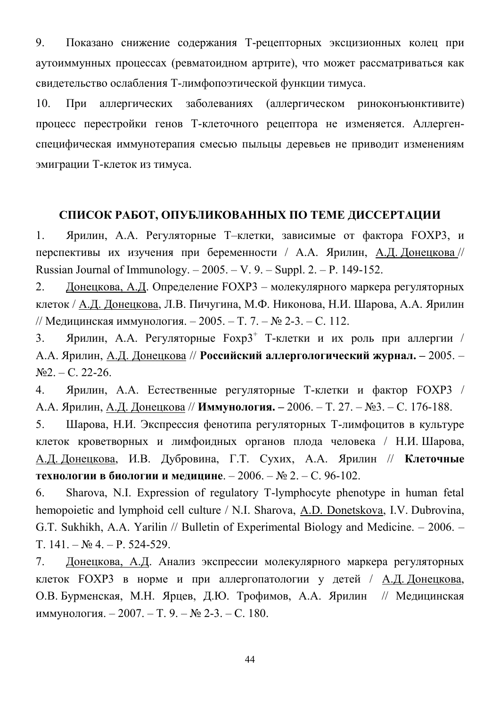9. Показано снижение содержания Т-рецепторных эксцизионных колец при аутоиммунных процессах (ревматоидном артрите), что может рассматриваться как свидетельство ослабления Т-лимфопоэтической функции тимуса.

10. При аллергических заболеваниях (аллергическом риноконъюнктивите) процесс перестройки генов Т-клеточного рецептора не изменяется. Аллергенспецифическая иммунотерапия смесью пыльцы деревьев не приводит изменениям эмиграции Т-клеток из тимуса.

# СПИСОК РАБОТ, ОПУБЛИКОВАННЫХ ПО ТЕМЕ ДИССЕРТАЦИИ

1. Ярилин, А.А. Регуляторные Т-клетки, зависимые от фактора FOXP3, и перспективы их изучения при беременности / А.А. Ярилин, А.Д. Донецкова // Russian Journal of Immunology.  $-2005. - V. 9. - Suppl. 2. - P. 149-152.$ 

2. Донецкова, А.Д. Определение FOXP3 – молекулярного маркера регуляторных клеток / А.Д. Донецкова, Л.В. Пичугина, М.Ф. Никонова, Н.И. Шарова, А.А. Ярилин // Медицинская иммунология.  $-2005. - T. 7. - N$ <sup>2</sup> 2-3.  $- C. 112.$ 

3. Ярилин, А.А. Регуляторные  $F\alpha p3^+$  Т-клетки и их роль при аллергии / А.А. Ярилин, А.Д. Донецкова // Российский аллергологический журнал. - 2005. - $N<sub>22</sub> - C. 22-26.$ 

4. Ярилин, А.А. Естественные регуляторные Т-клетки и фактор FOXP3 / А.А. Ярилин, А.Д. Донецкова // **Иммунология.** - 2006. - Т. 27. - №3. - С. 176-188.

5. Шарова, Н.И. Экспрессия фенотипа регуляторных Т-лимфоцитов в культуре клеток кроветворных и лимфоидных органов плода человека / Н.И. Шарова, А.Д. Донецкова, И.В. Дубровина, Г.Т. Сухих, А.А. Ярилин // Клеточные **Технологии в биологии и медицине**. − 2006. – № 2. – С. 96-102.

6. Sharova, N.I. Expression of regulatory T-lymphocyte phenotype in human fetal hemopoietic and lymphoid cell culture / N.I. Sharova, A.D. Donetskova, I.V. Dubrovina, G.T. Sukhikh, A.A. Yarilin  $\ell$  Bulletin of Experimental Biology and Medicine.  $-$  2006.  $T. 141. - N<sub>2</sub> 4. - P. 524-529.$ 

7. Донецкова, А.Д. Анализ экспрессии молекулярного маркера регуляторных клеток FOXP3 в норме и при аллергопатологии у детей / А.Д. Донецкова, О.В. Бурменская, М.Н. Ярцев, Д.Ю. Трофимов, А.А. Ярилин // Медицинская иммунология. − 2007. – Т. 9. – № 2-3. – С. 180.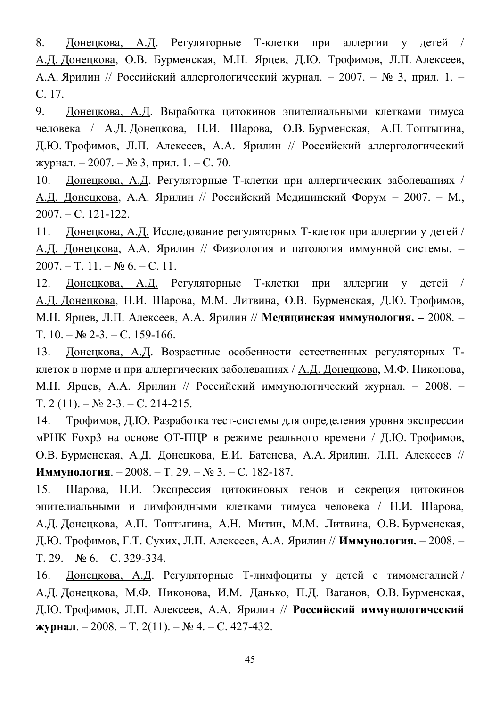8. Донецкова, А.Д. Регуляторные Т-клетки при аллергии у детей / А.Д. Донецкова, О.В. Бурменская, М.Н. Ярцев, Д.Ю. Трофимов, Л.П. Алексеев, А.А. Ярилин // Российский аллергологический журнал. - 2007. - № 3, прил. 1. -C. 17.

9. Донецкова, А.Д. Выработка цитокинов эпителиальными клетками тимуса человека / А.Д. Донецкова, Н.И. Шарова, О.В. Бурменская, А.П. Топтыгина, Д.Ю. Трофимов, Л.П. Алексеев, А.А. Ярилин // Российский аллергологический журнал. − 2007. – № 3, прил. 1. – С. 70.

10. Донецкова, А.Д. Регуляторные Т-клетки при аллергических заболеваниях / А.Д. Лонецкова, А.А. Ярилин // Российский Мелицинский Форум - 2007. - М.,  $2007. - C. 121-122.$ 

11. Донецкова, А.Д. Исследование регуляторных Т-клеток при аллергии у детей / А.Д. Донецкова, А.А. Ярилин // Физиология и патология иммунной системы. - $2007. - T. 11. - N<sub>2</sub> 6. - C. 11.$ 

12. Донецкова, А.Д. Регуляторные Т-клетки при аллергии у детей / А.Д. Донецкова, Н.И. Шарова, М.М. Литвина, О.В. Бурменская, Д.Ю. Трофимов, М.Н. Ярцев, Л.П. Алексеев, А.А. Ярилин // Медицинская иммунология. - 2008. - $T_{1}$  10.  $-N_2$  2-3.  $-C_{1}$  159-166.

13. Донецкова, А.Д. Возрастные особенности естественных регуляторных Тклеток в норме и при аллергических заболеваниях / А.Д. Донецкова, М.Ф. Никонова, М.Н. Ярцев, А.А. Ярилин // Российский иммунологический журнал. - 2008. - $T_1$ ,  $2(11)$ .  $-N_2$ ,  $2-3$ .  $-C_1$ ,  $214-215$ .

14. Трофимов, Д.Ю. Разработка тест-системы для определения уровня экспрессии мРНК Foxp3 на основе ОТ-ПЦР в режиме реального времени / Д.Ю. Трофимов, О.В. Бурменская, А.Д. Донецкова, Е.И. Батенева, А.А. Ярилин, Л.П. Алексеев // Иммунология. - 2008. - Т. 29. - № 3. - С. 182-187.

15. Шарова, Н.И. Экспрессия цитокиновых генов и секреция цитокинов эпителиальными и лимфоидными клетками тимуса человека / Н.И. Шарова, А.Д. Донецкова, А.П. Топтыгина, А.Н. Митин, М.М. Литвина, О.В. Бурменская, Д.Ю. Трофимов, Г.Т. Сухих, Л.П. Алексеев, А.А. Ярилин // **Иммунология.** - 2008. - $T, 29, -N_2, 6, -C, 329-334.$ 

16. Донецкова, А.Д. Регуляторные Т-лимфоциты у детей с тимомегалией / А.Д. Донецкова, М.Ф. Никонова, И.М. Данько, П.Д. Ваганов, О.В. Бурменская, Д.Ю. Трофимов, Л.П. Алексеев, А.А. Ярилин // Российский иммунологический  $\mathbf{X}\mathbf{Y}\mathbf{P}\mathbf{H}\mathbf{A}\mathbf{J} = 2008. - \text{T}$ . 2(11).  $-\mathbf{N}$  4.  $-\text{C}$ . 427-432.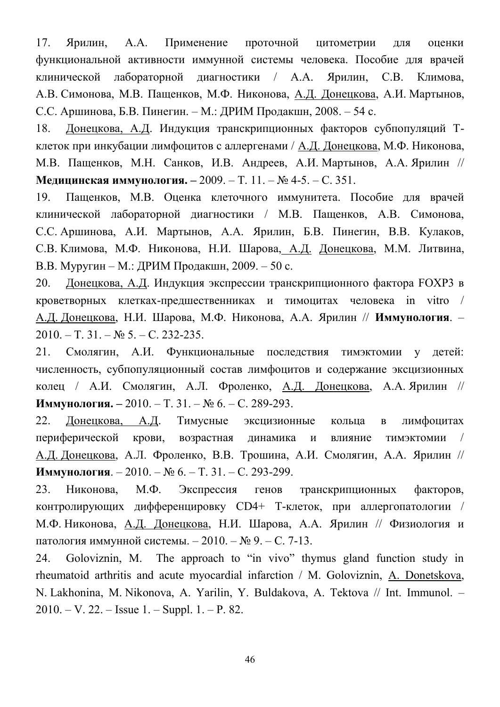17. Ярилин, А.А. Применение проточной цитометрии для оценки функциональной активности иммунной системы человека. Пособие для врачей клинической лабораторной диагностики / А.А. Ярилин, С.В. Климова, А.В. Симонова, М.В. Пащенков, М.Ф. Никонова, А.Д. Донецкова, А.И. Мартынов, С.С. Аршинова, Б.В. Пинегин. – М.: ДРИМ Продакшн, 2008. – 54 с.

18. Донецкова, А.Д. Индукция транскрипционных факторов субпопуляций Тклеток при инкубации лимфоцитов с аллергенами / А.Д. Донецкова, М.Ф. Никонова, М.В. Пащенков, М.Н. Санков, И.В. Андреев, А.И. Мартынов, А.А. Ярилин // Медицинская иммунология. - 2009. - Т. 11. - № 4-5. - С. 351.

19. Пащенков, М.В. Оценка клеточного иммунитета. Пособие для врачей клинической лабораторной диагностики / М.В. Пащенков, А.В. Симонова, С.С. Аршинова, А.И. Мартынов, А.А. Ярилин, Б.В. Пинегин, В.В. Кулаков, С.В. Климова, М.Ф. Никонова, Н.И. Шарова, А.Д. Донецкова, М.М. Литвина, В.В. Муругин – М.: ДРИМ Продакшн, 2009. – 50 с.

20. Донецкова, А.Д. Индукция экспрессии транскрипционного фактора FOXP3 в кроветворных клетках-предшественниках и тимоцитах человека in vitro / А.Д. Донецкова, Н.И. Шарова, М.Ф. Никонова, А.А. Ярилин // Иммунология. - $2010. - T. 31. - N<sub>2</sub> 5. - C. 232-235.$ 

21. Смолягин, А.И. Функциональные последствия тимэктомии у детей: численность, субпопуляционный состав лимфоцитов и содержание эксцизионных колец / А.И. Смолягин, А.Л. Фроленко, <u>А.Д. Донецкова</u>, А.А. Ярилин // Иммунология. - 2010. - Т. 31. - № 6. - С. 289-293.

22. Донецкова, А.Д. Тимусные эксцизионные кольца в лимфоцитах периферической крови, возрастная линамика и влияние тимэктомии / А.Д. Донецкова, А.Л. Фроленко, В.В. Трошина, А.И. Смолягин, А.А. Ярилин // Иммунология. – 2010. – № 6. – Т. 31. – С. 293-299.

23. Никонова, М.Ф. Экспрессия генов транскрипционных факторов, контролирующих дифференцировку CD4+ Т-клеток, при аллергопатологии / М.Ф. Никонова, А.Д. Донецкова, Н.И. Шарова, А.А. Ярилин // Физиология и патология иммунной системы. − 2010. – № 9. – С. 7-13.

24. Goloviznin, M. The approach to "in vivo" thymus gland function study in rheumatoid arthritis and acute myocardial infarction / M. Goloviznin, A. Donetskova, N. Lakhonina, M. Nikonova, A. Yarilin, Y. Buldakova, A. Tektova // Int. Immunol. - $2010. - V. 22. - Isue 1. - Suppl. 1. - P. 82.$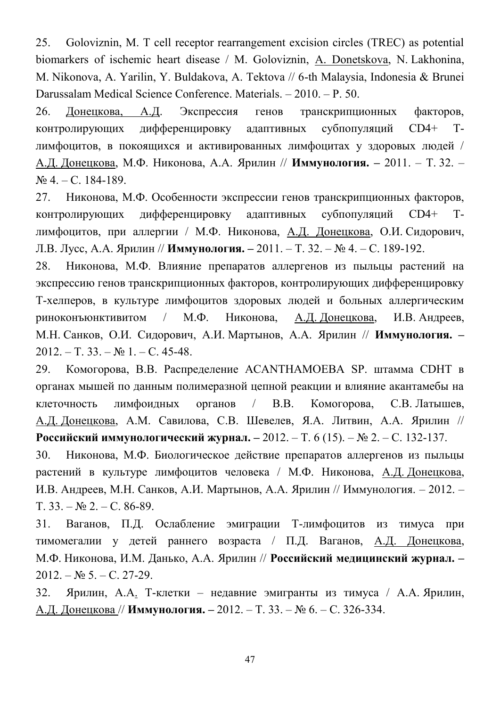25. Goloviznin, M. T cell receptor rearrangement excision circles (TREC) as potential biomarkers of ischemic heart disease / M. Goloviznin, A. Donetskova, N. Lakhonina, M. Nikonova, A. Yarilin, Y. Buldakova, A. Tektova // 6-th Malaysia, Indonesia & Brunei Darussalam Medical Science Conference. Materials.  $-2010$ . - P. 50.

26. Донецкова, А.Д. Экспрессия генов транскрипционных факторов, контролирующих дифференцировку адаптивных субпопуляций СD4+ Тлимфоцитов, в покоящихся и активированных лимфоцитах у здоровых людей / А.Д. Донецкова, М.Ф. Никонова, А.А. Ярилин // Иммунология. - 2011. - Т. 32. - $N<sub>2</sub>$  4. – C. 184-189.

27. Никонова, М.Ф. Особенности экспрессии генов транскрипционных факторов, контролирующих дифференцировку адаптивных субпопуляций СD4+ Тлимфоцитов, при аллергии / М.Ф. Никонова, А.Д. Донецкова, О.И. Сидорович, Л.В. Лусс, А.А. Ярилин // **Иммунология.** – 2011. – Т. 32. – № 4. – С. 189-192.

28. Никонова, М.Ф. Влияние препаратов аллергенов из пыльцы растений на экспрессию генов транскрипционных факторов, контролирующих дифференцировку Т-хелперов, в культуре лимфоцитов здоровых людей и больных аллергическим риноконъюнктивитом / М.Ф. Никонова, А.Д. Донецкова, И.В. Андреев, М.Н. Санков, О.И. Сидорович, А.И. Мартынов, А.А. Ярилин // Иммунология. - $2012. - T. 33. - N<sub>2</sub> 1. - C. 45-48.$ 

29. Комогорова, В.В. Распределение ACANTHAMOEBA SP. штамма CDHT в органах мышей по данным полимеразной цепной реакции и влияние акантамебы на клеточность лимфоидных органов / В.В. Комогорова, С.В. Латышев, А.Д. Донецкова, А.М. Савилова, С.В. Шевелев, Я.А. Литвин, А.А. Ярилин // Российский иммунологический журнал. – 2012. – Т. 6 (15). – № 2. – С. 132-137.

30. Никонова, М.Ф. Биологическое действие препаратов аллергенов из пыльцы растений в культуре лимфоцитов человека / М.Ф. Никонова, А.Д. Донецкова, И.В. Андреев, М.Н. Санков, А.И. Мартынов, А.А. Ярилин // Иммунология.  $-2012. T. 33. - N<sub>2</sub> 2. - C. 86-89.$ 

31. Ваганов, П.Д. Ослабление эмиграции Т-лимфоцитов из тимуса при тимомегалии у детей раннего возраста / П.Д. Ваганов, А.Д. Донецкова, М.Ф. Никонова, И.М. Данько, А.А. Ярилин // Российский медицинский журнал. - $2012. - N_2 5. - C. 27-29.$ 

32. Ярилин, А.А. Т-клетки – недавние эмигранты из тимуса / А.А. Ярилин, А.Д. Донецкова // **Иммунология.** - 2012. - Т. 33. - № 6. - С. 326-334.